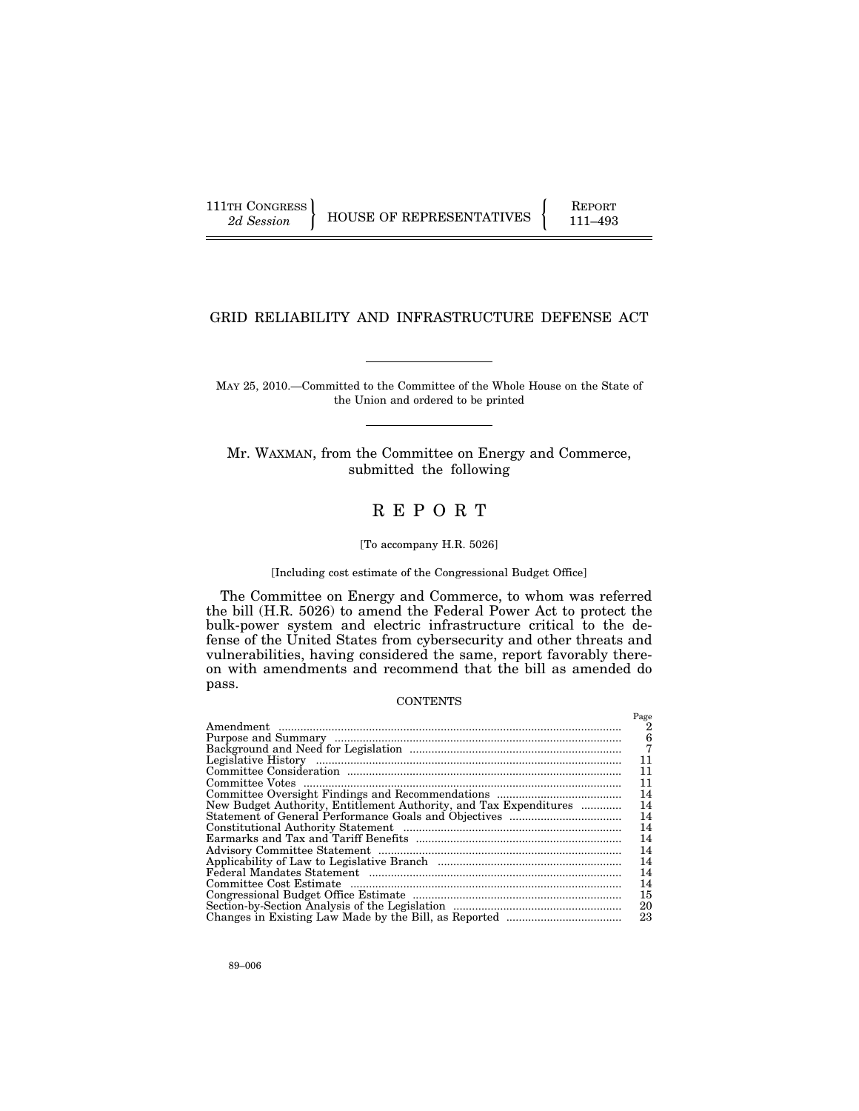111TH CONGRESS HOUSE OF REPRESENTATIVES FEPORT 111–493

# GRID RELIABILITY AND INFRASTRUCTURE DEFENSE ACT

MAY 25, 2010.—Committed to the Committee of the Whole House on the State of the Union and ordered to be printed

Mr. WAXMAN, from the Committee on Energy and Commerce, submitted the following

# R E P O R T

## [To accompany H.R. 5026]

## [Including cost estimate of the Congressional Budget Office]

The Committee on Energy and Commerce, to whom was referred the bill (H.R. 5026) to amend the Federal Power Act to protect the bulk-power system and electric infrastructure critical to the defense of the United States from cybersecurity and other threats and vulnerabilities, having considered the same, report favorably thereon with amendments and recommend that the bill as amended do pass.

## **CONTENTS**

|                                                                   | Page |
|-------------------------------------------------------------------|------|
|                                                                   | 2    |
|                                                                   | 6    |
|                                                                   |      |
|                                                                   | 11   |
|                                                                   | 11   |
|                                                                   | 11   |
|                                                                   | 14   |
| New Budget Authority, Entitlement Authority, and Tax Expenditures | 14   |
|                                                                   | 14   |
|                                                                   | 14   |
|                                                                   | 14   |
|                                                                   | 14   |
|                                                                   | 14   |
|                                                                   | 14   |
|                                                                   | 14   |
|                                                                   | 15   |
|                                                                   | 20   |
|                                                                   | 23   |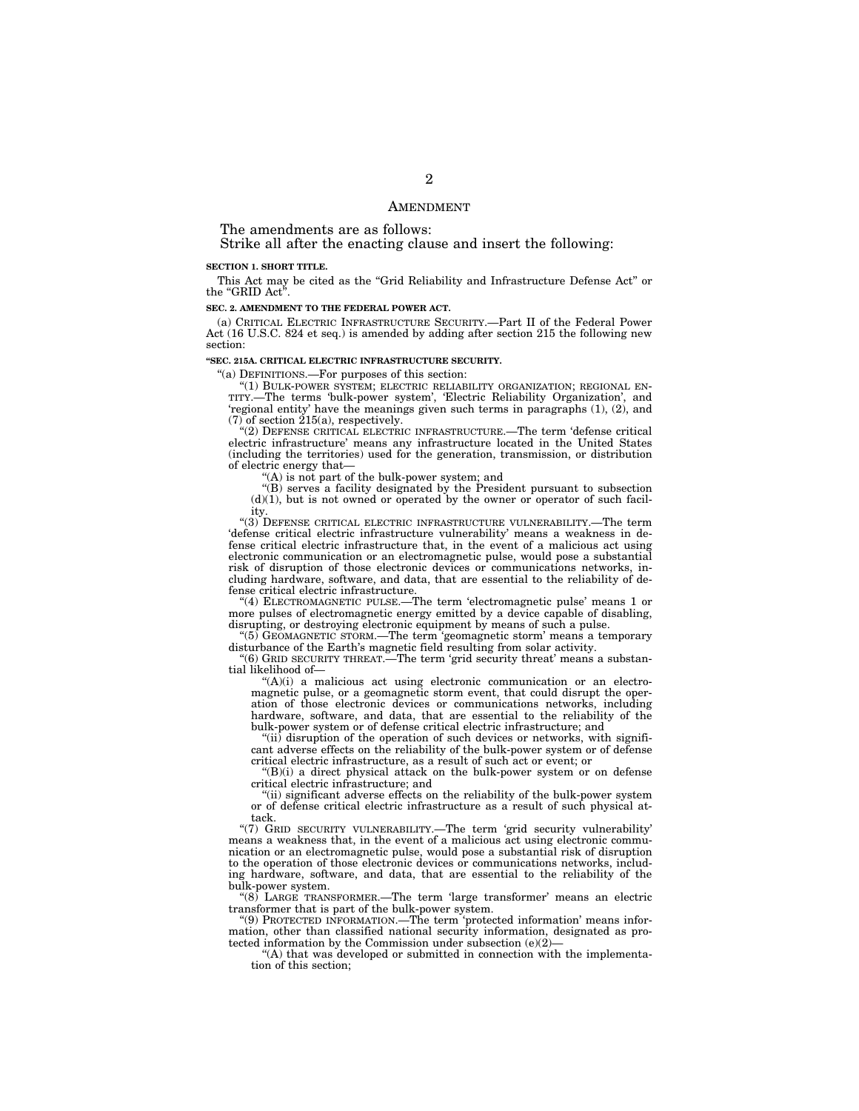## AMENDMENT

The amendments are as follows:

Strike all after the enacting clause and insert the following:

#### **SECTION 1. SHORT TITLE.**

This Act may be cited as the ''Grid Reliability and Infrastructure Defense Act'' or the "GRID Act"

## **SEC. 2. AMENDMENT TO THE FEDERAL POWER ACT.**

(a) CRITICAL ELECTRIC INFRASTRUCTURE SECURITY.—Part II of the Federal Power Act (16 U.S.C. 824 et seq.) is amended by adding after section 215 the following new section:

### **''SEC. 215A. CRITICAL ELECTRIC INFRASTRUCTURE SECURITY.**

''(a) DEFINITIONS.—For purposes of this section:

"(1) BULK-POWER SYSTEM; ELECTRIC RELIABILITY ORGANIZATION; REGIONAL EN-TITY.—The terms 'bulk-power system', 'Electric Reliability Organization', and 'regional entity' have the meanings given such terms in paragraphs (1), (2), and (7) of section 215(a), respectively.

''(2) DEFENSE CRITICAL ELECTRIC INFRASTRUCTURE.—The term 'defense critical electric infrastructure' means any infrastructure located in the United States (including the territories) used for the generation, transmission, or distribution of electric energy that—

''(A) is not part of the bulk-power system; and

''(B) serves a facility designated by the President pursuant to subsection  $(d)(1)$ , but is not owned or operated by the owner or operator of such facility.

''(3) DEFENSE CRITICAL ELECTRIC INFRASTRUCTURE VULNERABILITY.—The term 'defense critical electric infrastructure vulnerability' means a weakness in defense critical electric infrastructure that, in the event of a malicious act using electronic communication or an electromagnetic pulse, would pose a substantial risk of disruption of those electronic devices or communications networks, including hardware, software, and data, that are essential to the reliability of defense critical electric infrastructure.

''(4) ELECTROMAGNETIC PULSE.—The term 'electromagnetic pulse' means 1 or more pulses of electromagnetic energy emitted by a device capable of disabling, disrupting, or destroying electronic equipment by means of such a pulse.

''(5) GEOMAGNETIC STORM.—The term 'geomagnetic storm' means a temporary disturbance of the Earth's magnetic field resulting from solar activity.

''(6) GRID SECURITY THREAT.—The term 'grid security threat' means a substantial likelihood of—

 $(A)(i)$  a malicious act using electronic communication or an electromagnetic pulse, or a geomagnetic storm event, that could disrupt the operation of those electronic devices or communications networks, including hardware, software, and data, that are essential to the reliability of the bulk-power system or of defense critical electric infrastructure; and

 $\lq$ <sup>'(ii)</sup> disruption of the operation of such devices or networks, with significant adverse effects on the reliability of the bulk-power system or of defense critical electric infrastructure, as a result of such act or event; or

''(B)(i) a direct physical attack on the bulk-power system or on defense critical electric infrastructure; and

''(ii) significant adverse effects on the reliability of the bulk-power system or of defense critical electric infrastructure as a result of such physical attack.

"(7) GRID SECURITY VULNERABILITY.—The term 'grid security vulnerability means a weakness that, in the event of a malicious act using electronic communication or an electromagnetic pulse, would pose a substantial risk of disruption to the operation of those electronic devices or communications networks, including hardware, software, and data, that are essential to the reliability of the bulk-power system.

"(8) LARGE TRANSFORMER.—The term 'large transformer' means an electric transformer that is part of the bulk-power system.

''(9) PROTECTED INFORMATION.—The term 'protected information' means information, other than classified national security information, designated as protected information by the Commission under subsection  $(e)(2)$ 

''(A) that was developed or submitted in connection with the implementation of this section;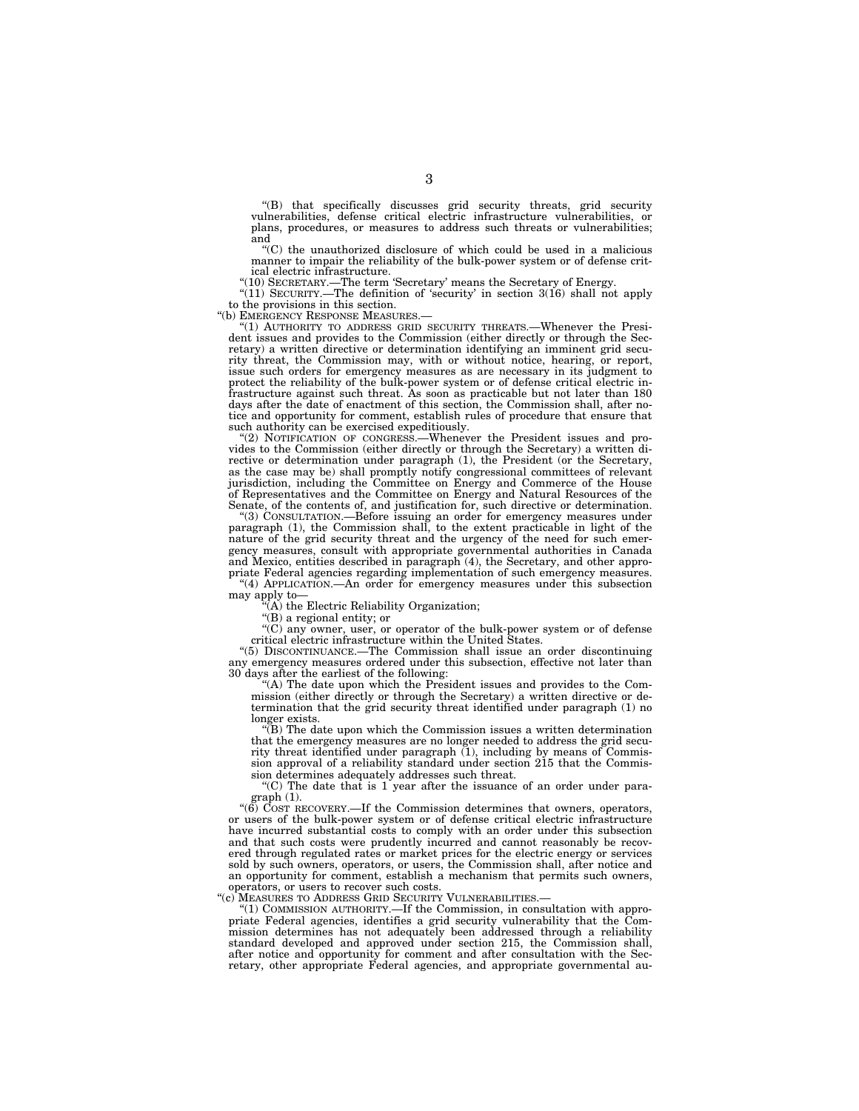''(B) that specifically discusses grid security threats, grid security vulnerabilities, defense critical electric infrastructure vulnerabilities, or plans, procedures, or measures to address such threats or vulnerabilities; and

''(C) the unauthorized disclosure of which could be used in a malicious manner to impair the reliability of the bulk-power system or of defense critical electric infrastructure.

''(10) SECRETARY.—The term 'Secretary' means the Secretary of Energy. ''(11) SECURITY.—The definition of 'security' in section 3(16) shall not apply to the provisions in this section.<br>"(b) EMERGENCY RESPONSE MEASURES.-

''(b) EMERGENCY RESPONSE MEASURES.— ''(1) AUTHORITY TO ADDRESS GRID SECURITY THREATS.—Whenever the Presi-dent issues and provides to the Commission (either directly or through the Secretary) a written directive or determination identifying an imminent grid security threat, the Commission may, with or without notice, hearing, or report, issue such orders for emergency measures as are necessary in its judgment to protect the reliability of the bulk-power system or of defense critical electric infrastructure against such threat. As soon as practicable but not later than 180 days after the date of enactment of this section, the Commission shall, after notice and opportunity for comment, establish rules of procedure that ensure that such authority can be exercised expeditiously.

''(2) NOTIFICATION OF CONGRESS.—Whenever the President issues and provides to the Commission (either directly or through the Secretary) a written directive or determination under paragraph (1), the President (or the Secretary, as the case may be) shall promptly notify congressional committees of relevant jurisdiction, including the Committee on Energy and Commerce of the House of Representatives and the Committee on Energy and Natural Resources of the Senate, of the contents of, and justification for, such directive or determination.

''(3) CONSULTATION.—Before issuing an order for emergency measures under paragraph (1), the Commission shall, to the extent practicable in light of the nature of the grid security threat and the urgency of the need for such emergency measures, consult with appropriate governmental authorities in Canada and Mexico, entities described in paragraph (4), the Secretary, and other appropriate Federal agencies regarding implementation of such emergency measures. "(4) APPLICATION.—An order for emergency measures under this subsection

may apply to—

''(A) the Electric Reliability Organization;

''(B) a regional entity; or

''(C) any owner, user, or operator of the bulk-power system or of defense critical electric infrastructure within the United States.

''(5) DISCONTINUANCE.—The Commission shall issue an order discontinuing any emergency measures ordered under this subsection, effective not later than 30 days after the earliest of the following:

"(A) The date upon which the President issues and provides to the Commission (either directly or through the Secretary) a written directive or determination that the grid security threat identified under paragraph (1) no longer exists.

''(B) The date upon which the Commission issues a written determination that the emergency measures are no longer needed to address the grid security threat identified under paragraph (1), including by means of Commission approval of a reliability standard under section 215 that the Commission determines adequately addresses such threat.

"(C) The date that is  $1$  year after the issuance of an order under paragraph (1).

''(6) COST RECOVERY.—If the Commission determines that owners, operators, or users of the bulk-power system or of defense critical electric infrastructure have incurred substantial costs to comply with an order under this subsection and that such costs were prudently incurred and cannot reasonably be recovered through regulated rates or market prices for the electric energy or services sold by such owners, operators, or users, the Commission shall, after notice and an opportunity for comment, establish a mechanism that permits such owners, operators, or users to recover such costs.

"(c) MEASURES TO ADDRESS GRID SECURITY VULNERABILITIES.—

''(1) COMMISSION AUTHORITY.—If the Commission, in consultation with appropriate Federal agencies, identifies a grid security vulnerability that the Commission determines has not adequately been addressed through a reliability standard developed and approved under section 215, the Commission shall, after notice and opportunity for comment and after consultation with the Secretary, other appropriate Federal agencies, and appropriate governmental au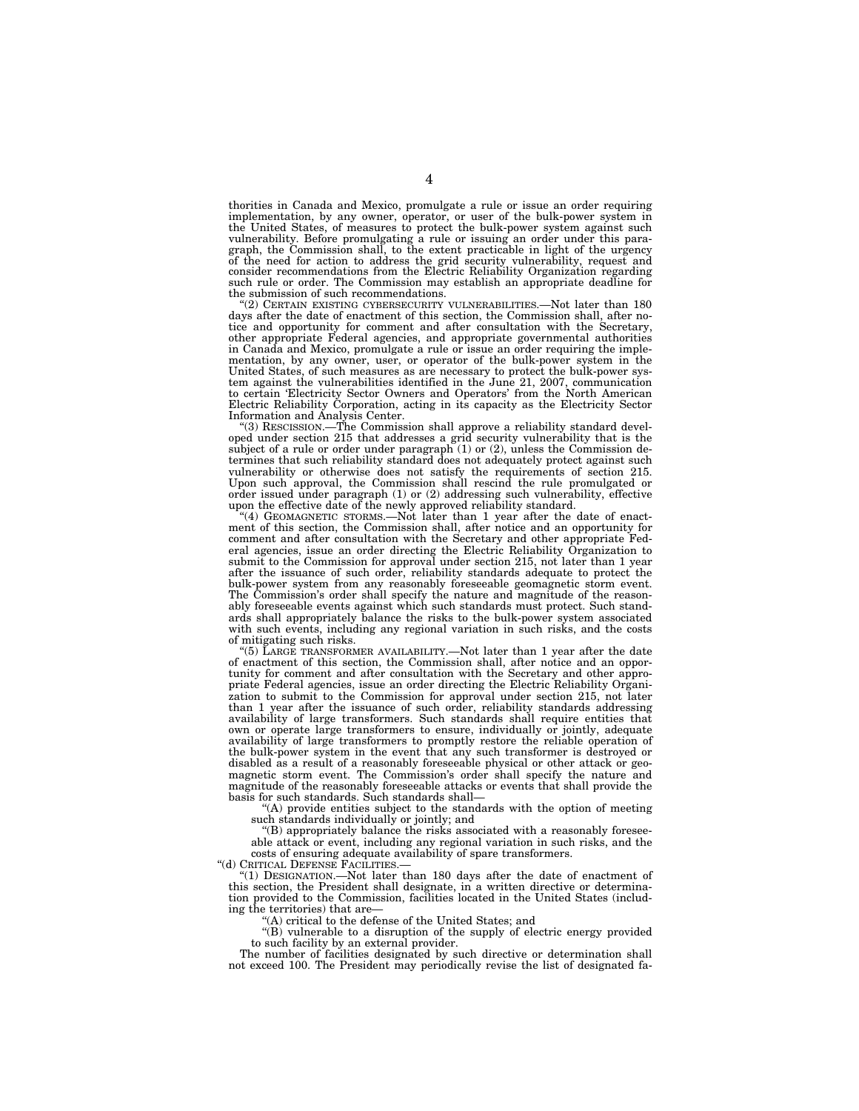thorities in Canada and Mexico, promulgate a rule or issue an order requiring implementation, by any owner, operator, or user of the bulk-power system in the United States, of measures to protect the bulk-power system against such vulnerability. Before promulgating a rule or issuing an order under this para-graph, the Commission shall, to the extent practicable in light of the urgency of the need for action to address the grid security vulnerability, request and consider recommendations from the Electric Reliability Organization regarding such rule or order. The Commission may establish an appropriate deadline for the submission of such recommendations.

<sup>''</sup>(2) CERTAIN EXISTING CYBERSECURITY VULNERABILITIES.—Not later than 180 days after the date of enactment of this section, the Commission shall, after notice and opportunity for comment and after consultation with the Secretary, other appropriate Federal agencies, and appropriate governmental authorities in Canada and Mexico, promulgate a rule or issue an order requiring the imple-mentation, by any owner, user, or operator of the bulk-power system in the United States, of such measures as are necessary to protect the bulk-power sys-tem against the vulnerabilities identified in the June 21, 2007, communication to certain 'Electricity Sector Owners and Operators' from the North American Electric Reliability Corporation, acting in its capacity as the Electricity Sector

Information and Analysis Center.<br>
"(3) RESCISSION.—The Commission shall approve a reliability standard developed under section 215 that addresses a grid security vulnerability that is the subject of a rule or order under paragraph (1) or (2), unless the Commission determines that such reliability standard does not adequately protect against such vulnerability or otherwise does not satisfy the requirements of section 215. Upon such approval, the Commission shall rescind the rule promulgated or order issued under paragraph (1) or (2) addressing such vulnerability, effective upon the effective date of the newly approved reliability standard.

''(4) GEOMAGNETIC STORMS.—Not later than 1 year after the date of enactment of this section, the Commission shall, after notice and an opportunity for comment and after consultation with the Secretary and other appropriate Federal agencies, issue an order directing the Electric Reliability Organization to submit to the Commission for approval under section 215, not later than 1 year after the issuance of such order, reliability standards adequate to protect the bulk-power system from any reasonably foreseeable geomagnetic storm event. The Commission's order shall specify the nature and magnitude of the reasonably foreseeable events against which such standards must protect. Such standards shall appropriately balance the risks to the bulk-power system associated with such events, including any regional variation in such risks, and the costs of mitigating such risks.

(5) LARGE TRANSFORMER AVAILABILITY.—Not later than 1 year after the date of enactment of this section, the Commission shall, after notice and an opportunity for comment and after consultation with the Secretary and other appropriate Federal agencies, issue an order directing the Electric Reliability Organization to submit to the Commission for approval under section 215, not later than 1 year after the issuance of such order, reliability standards addressing availability of large transformers. Such standards shall require entities that own or operate large transformers to ensure, individually or jointly, adequate availability of large transformers to promptly restore the reliable operation of the bulk-power system in the event that any such transformer is destroyed or disabled as a result of a reasonably foreseeable physical or other attack or geomagnetic storm event. The Commission's order shall specify the nature and magnitude of the reasonably foreseeable attacks or events that shall provide the basis for such standards. Such standards shall—

''(A) provide entities subject to the standards with the option of meeting such standards individually or jointly; and

''(B) appropriately balance the risks associated with a reasonably foreseeable attack or event, including any regional variation in such risks, and the costs of ensuring adequate availability of spare transformers.

''(d) CRITICAL DEFENSE FACILITIES.—

''(1) DESIGNATION.—Not later than 180 days after the date of enactment of this section, the President shall designate, in a written directive or determination provided to the Commission, facilities located in the United States (including the territories) that are—

"(A) critical to the defense of the United States; and

''(B) vulnerable to a disruption of the supply of electric energy provided to such facility by an external provider.

The number of facilities designated by such directive or determination shall not exceed 100. The President may periodically revise the list of designated fa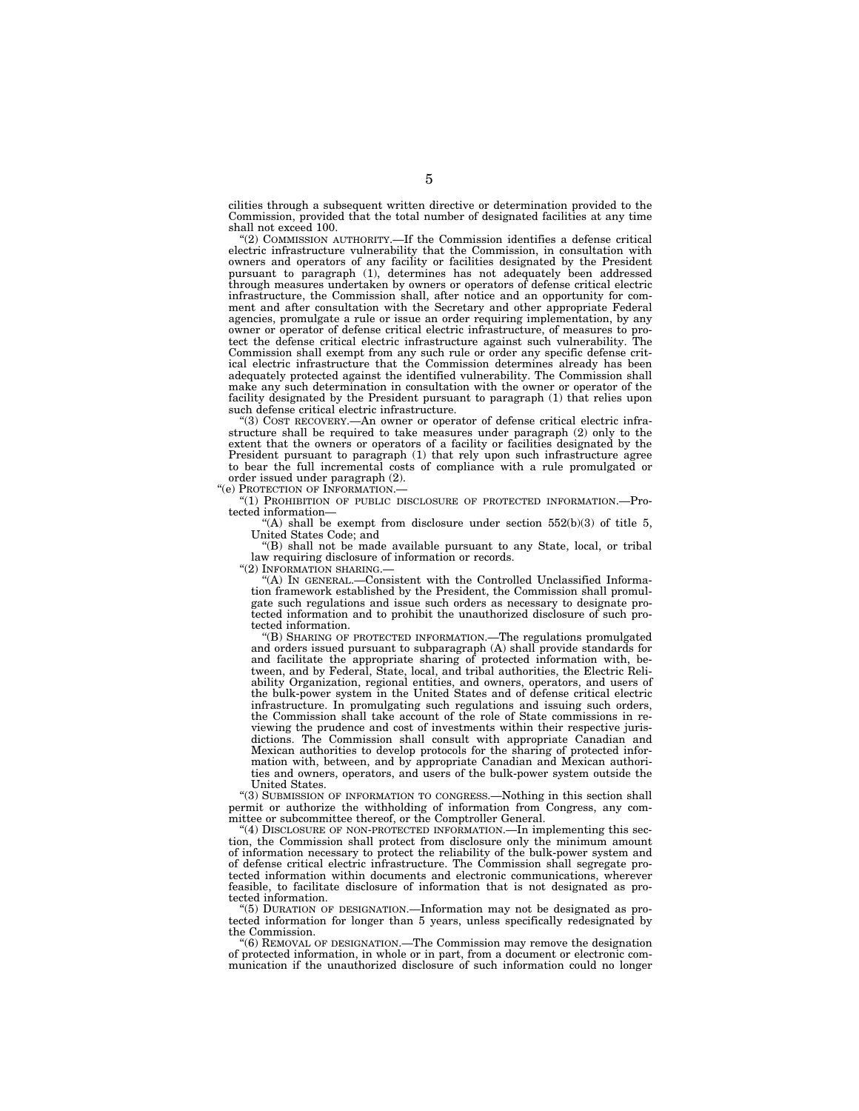cilities through a subsequent written directive or determination provided to the Commission, provided that the total number of designated facilities at any time shall not exceed 100.

''(2) COMMISSION AUTHORITY.—If the Commission identifies a defense critical electric infrastructure vulnerability that the Commission, in consultation with owners and operators of any facility or facilities designated by the President pursuant to paragraph (1), determines has not adequately been addressed through measures undertaken by owners or operators of defense critical electric infrastructure, the Commission shall, after notice and an opportunity for comment and after consultation with the Secretary and other appropriate Federal agencies, promulgate a rule or issue an order requiring implementation, by any owner or operator of defense critical electric infrastructure, of measures to protect the defense critical electric infrastructure against such vulnerability. The Commission shall exempt from any such rule or order any specific defense critical electric infrastructure that the Commission determines already has been adequately protected against the identified vulnerability. The Commission shall make any such determination in consultation with the owner or operator of the facility designated by the President pursuant to paragraph (1) that relies upon such defense critical electric infrastructure.

''(3) COST RECOVERY.—An owner or operator of defense critical electric infrastructure shall be required to take measures under paragraph (2) only to the extent that the owners or operators of a facility or facilities designated by the President pursuant to paragraph (1) that rely upon such infrastructure agree to bear the full incremental costs of compliance with a rule promulgated or order issued under paragraph (2).

"(e) PROTECTION OF INFORMATION.

''(1) PROHIBITION OF PUBLIC DISCLOSURE OF PROTECTED INFORMATION.—Protected information—

"(A) shall be exempt from disclosure under section  $552(b)(3)$  of title 5, United States Code; and

''(B) shall not be made available pursuant to any State, local, or tribal law requiring disclosure of information or records.

"(2) INFORMATION SHARING.

''(A) IN GENERAL.—Consistent with the Controlled Unclassified Information framework established by the President, the Commission shall promulgate such regulations and issue such orders as necessary to designate protected information and to prohibit the unauthorized disclosure of such protected information.

''(B) SHARING OF PROTECTED INFORMATION.—The regulations promulgated and orders issued pursuant to subparagraph (A) shall provide standards for and facilitate the appropriate sharing of protected information with, between, and by Federal, State, local, and tribal authorities, the Electric Reliability Organization, regional entities, and owners, operators, and users of the bulk-power system in the United States and of defense critical electric infrastructure. In promulgating such regulations and issuing such orders, the Commission shall take account of the role of State commissions in reviewing the prudence and cost of investments within their respective jurisdictions. The Commission shall consult with appropriate Canadian and Mexican authorities to develop protocols for the sharing of protected information with, between, and by appropriate Canadian and Mexican authorities and owners, operators, and users of the bulk-power system outside the United States.

''(3) SUBMISSION OF INFORMATION TO CONGRESS.—Nothing in this section shall permit or authorize the withholding of information from Congress, any committee or subcommittee thereof, or the Comptroller General.

''(4) DISCLOSURE OF NON-PROTECTED INFORMATION.—In implementing this section, the Commission shall protect from disclosure only the minimum amount of information necessary to protect the reliability of the bulk-power system and of defense critical electric infrastructure. The Commission shall segregate protected information within documents and electronic communications, wherever feasible, to facilitate disclosure of information that is not designated as protected information.

''(5) DURATION OF DESIGNATION.—Information may not be designated as protected information for longer than 5 years, unless specifically redesignated by the Commission.

''(6) REMOVAL OF DESIGNATION.—The Commission may remove the designation of protected information, in whole or in part, from a document or electronic communication if the unauthorized disclosure of such information could no longer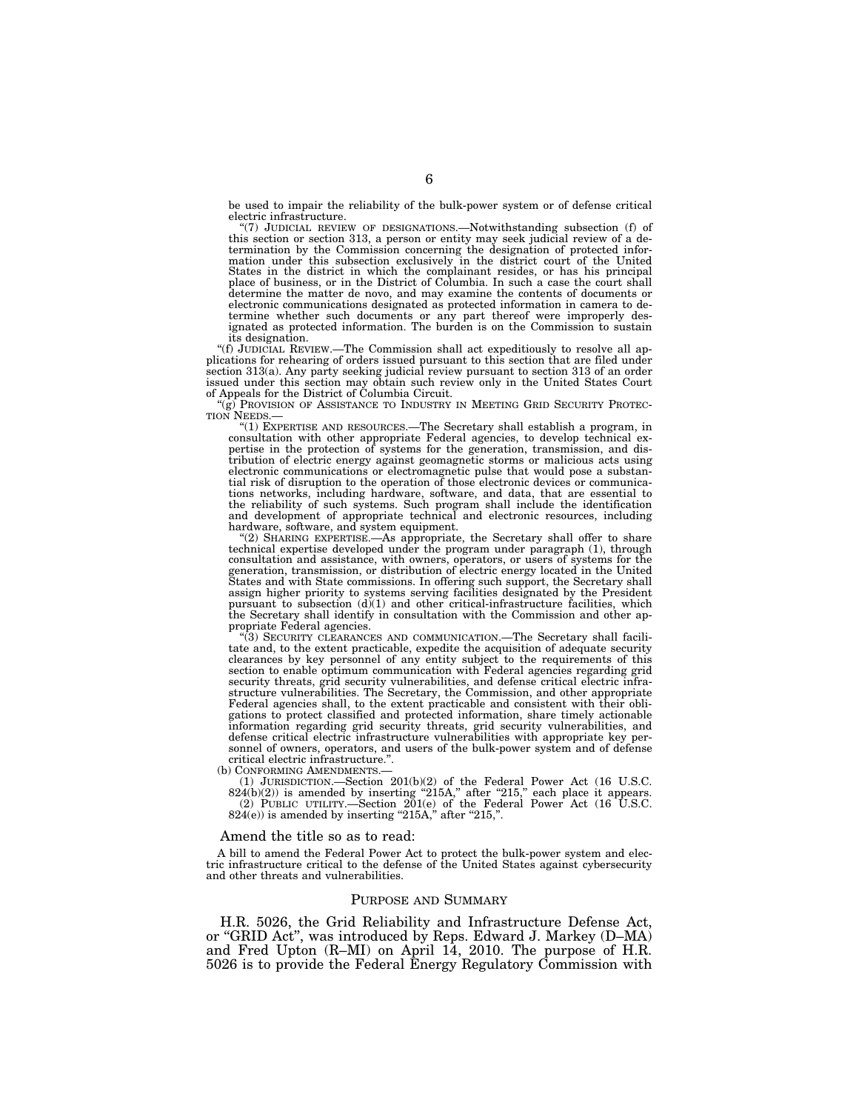be used to impair the reliability of the bulk-power system or of defense critical electric infrastructure.

''(7) JUDICIAL REVIEW OF DESIGNATIONS.—Notwithstanding subsection (f) of this section or section 313, a person or entity may seek judicial review of a determination by the Commission concerning the designation of protected information under this subsection exclusively in the district court of the United States in the district in which the complainant resides, or has his principal place of business, or in the District of Columbia. In such a case the court shall determine the matter de novo, and may examine the contents of documents or electronic communications designated as protected information in camera to determine whether such documents or any part thereof were improperly designated as protected information. The burden is on the Commission to sustain its designation.

''(f) JUDICIAL REVIEW.—The Commission shall act expeditiously to resolve all applications for rehearing of orders issued pursuant to this section that are filed under section 313(a). Any party seeking judicial review pursuant to section 313 of an order issued under this section may obtain such review only in the United States Court of Appeals for the District of Columbia Circuit.

 $\lq\lq(\hat{g})$  Provision of Assistance to Industry in Meeting Grid Security Protection Needs.—

TIDE.<br>"(1) EXPERTISE AND RESOURCES.—The Secretary shall establish a program, in consultation with other appropriate Federal agencies, to develop technical ex-pertise in the protection of systems for the generation, transmission, and distribution of electric energy against geomagnetic storms or malicious acts using electronic communications or electromagnetic pulse that would pose a substantial risk of disruption to the operation of those electronic devices or communications networks, including hardware, software, and data, that are essential to<br>the reliability of such systems. Such program shall include the identification<br>and development of appropriate technical and electronic resources

hardware, software, and system equipment.<br>"(2) SHARING EXPERTISE.—As appropriate, the Secretary shall offer to share<br>technical expertise developed under the program under paragraph (1), through consultation and assistance, with owners, operators, or users of systems for the generation, transmission, or distribution of electric energy located in the United States and with State commissions. In offering such suppor pursuant to subsection (d)(1) and other critical-infrastructure facilities, which the Secretary shall identify in consultation with the Commission and other appropriate Federal agencies.

''(3) SECURITY CLEARANCES AND COMMUNICATION.—The Secretary shall facilitate and, to the extent practicable, expedite the acquisition of adequate security clearances by key personnel of any entity subject to the requirements of this section to enable optimum communication with Federal agencies regarding grid security threats, grid security vulnerabilities, and defense critical electric infra-structure vulnerabilities. The Secretary, the Commission, and other appropriate Federal agencies shall, to the extent practicable and consistent with their obligations to protect classified and protected information, share timely actionable information regarding grid security threats, grid security vulnerabilities, and defense critical electric infrastructure vulnerabilities with appropriate key personnel of owners, operators, and users of the bulk-power system and of defense critical electric infrastructure.".<br>(b) CONFORMING AMENDMENTS.—

(b) CONFORMING AMENDMENTS.—<br>
(1) JURISDICTION.—Section 201(b)(2) of the Federal Power Act (16 U.S.C.<br>
824(b)(2)) is amended by inserting "215A," after "215," each place it appears.<br>
(2) PUBLIC UTILITY.—Section 201(e) of t

#### Amend the title so as to read:

A bill to amend the Federal Power Act to protect the bulk-power system and electric infrastructure critical to the defense of the United States against cybersecurity and other threats and vulnerabilities.

## PURPOSE AND SUMMARY

H.R. 5026, the Grid Reliability and Infrastructure Defense Act, or ''GRID Act'', was introduced by Reps. Edward J. Markey (D–MA) and Fred Upton (R–MI) on April 14, 2010. The purpose of H.R. 5026 is to provide the Federal Energy Regulatory Commission with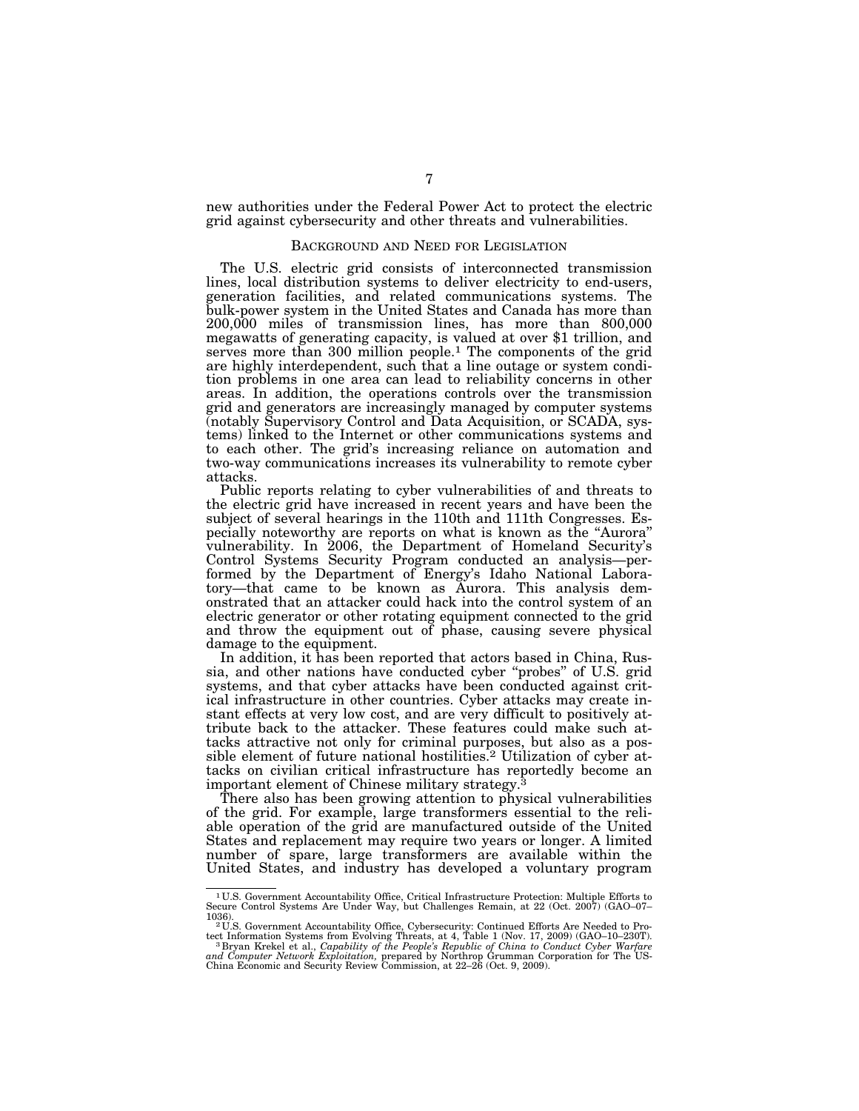new authorities under the Federal Power Act to protect the electric grid against cybersecurity and other threats and vulnerabilities.

## BACKGROUND AND NEED FOR LEGISLATION

The U.S. electric grid consists of interconnected transmission lines, local distribution systems to deliver electricity to end-users, generation facilities, and related communications systems. The bulk-power system in the United States and Canada has more than 200,000 miles of transmission lines, has more than 800,000 megawatts of generating capacity, is valued at over \$1 trillion, and serves more than 300 million people.<sup>1</sup> The components of the grid are highly interdependent, such that a line outage or system condition problems in one area can lead to reliability concerns in other areas. In addition, the operations controls over the transmission grid and generators are increasingly managed by computer systems (notably Supervisory Control and Data Acquisition, or SCADA, systems) linked to the Internet or other communications systems and to each other. The grid's increasing reliance on automation and two-way communications increases its vulnerability to remote cyber attacks.

Public reports relating to cyber vulnerabilities of and threats to the electric grid have increased in recent years and have been the subject of several hearings in the 110th and 111th Congresses. Especially noteworthy are reports on what is known as the ''Aurora'' vulnerability. In 2006, the Department of Homeland Security's Control Systems Security Program conducted an analysis—performed by the Department of Energy's Idaho National Laboratory—that came to be known as Aurora. This analysis demonstrated that an attacker could hack into the control system of an electric generator or other rotating equipment connected to the grid and throw the equipment out of phase, causing severe physical damage to the equipment.

In addition, it has been reported that actors based in China, Russia, and other nations have conducted cyber ''probes'' of U.S. grid systems, and that cyber attacks have been conducted against critical infrastructure in other countries. Cyber attacks may create instant effects at very low cost, and are very difficult to positively attribute back to the attacker. These features could make such attacks attractive not only for criminal purposes, but also as a possible element of future national hostilities.2 Utilization of cyber attacks on civilian critical infrastructure has reportedly become an important element of Chinese military strategy.<sup>3</sup>

There also has been growing attention to physical vulnerabilities of the grid. For example, large transformers essential to the reliable operation of the grid are manufactured outside of the United States and replacement may require two years or longer. A limited number of spare, large transformers are available within the United States, and industry has developed a voluntary program

<sup>1</sup> U.S. Government Accountability Office, Critical Infrastructure Protection: Multiple Efforts to Secure Control Systems Are Under Way, but Challenges Remain, at 22 (Oct. 2007) (GAO–07–

<sup>1036). 2</sup> U.S. Government Accountability Office, Cybersecurity: Continued Efforts Are Needed to Pro-

tect Information Systems from Evolving Threats, at 4, Table 1 (Nov. 17, 2009) (GAO–10–230T).<br><sup>3</sup> Bryan Krekel et al., *Capability of the People's Republic of China to Conduct Cyber Warfare*<br>and Computer Network Exploitatio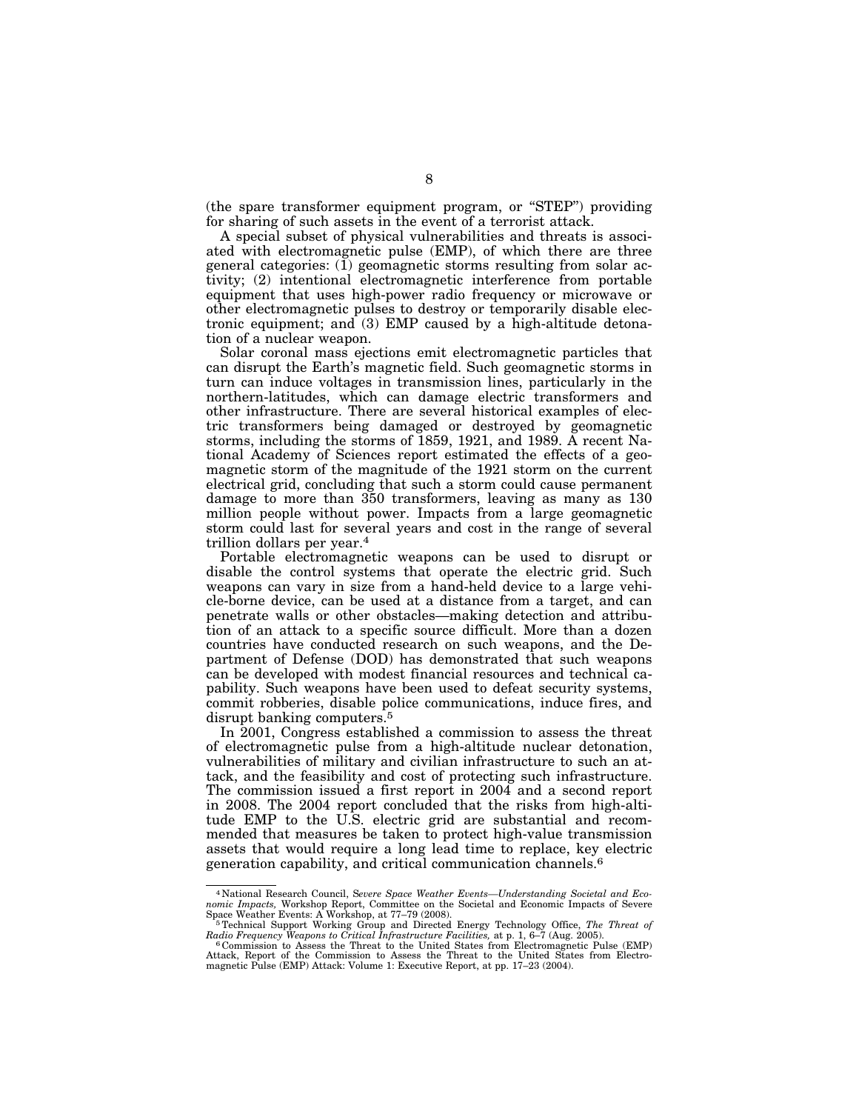(the spare transformer equipment program, or ''STEP'') providing for sharing of such assets in the event of a terrorist attack.

A special subset of physical vulnerabilities and threats is associated with electromagnetic pulse (EMP), of which there are three general categories: (1) geomagnetic storms resulting from solar activity; (2) intentional electromagnetic interference from portable equipment that uses high-power radio frequency or microwave or other electromagnetic pulses to destroy or temporarily disable electronic equipment; and (3) EMP caused by a high-altitude detonation of a nuclear weapon.

Solar coronal mass ejections emit electromagnetic particles that can disrupt the Earth's magnetic field. Such geomagnetic storms in turn can induce voltages in transmission lines, particularly in the northern-latitudes, which can damage electric transformers and other infrastructure. There are several historical examples of electric transformers being damaged or destroyed by geomagnetic storms, including the storms of 1859, 1921, and 1989. A recent National Academy of Sciences report estimated the effects of a geomagnetic storm of the magnitude of the 1921 storm on the current electrical grid, concluding that such a storm could cause permanent damage to more than 350 transformers, leaving as many as 130 million people without power. Impacts from a large geomagnetic storm could last for several years and cost in the range of several trillion dollars per year.<sup>4</sup>

Portable electromagnetic weapons can be used to disrupt or disable the control systems that operate the electric grid. Such weapons can vary in size from a hand-held device to a large vehicle-borne device, can be used at a distance from a target, and can penetrate walls or other obstacles—making detection and attribution of an attack to a specific source difficult. More than a dozen countries have conducted research on such weapons, and the Department of Defense (DOD) has demonstrated that such weapons can be developed with modest financial resources and technical capability. Such weapons have been used to defeat security systems, commit robberies, disable police communications, induce fires, and disrupt banking computers.5

In 2001, Congress established a commission to assess the threat of electromagnetic pulse from a high-altitude nuclear detonation, vulnerabilities of military and civilian infrastructure to such an attack, and the feasibility and cost of protecting such infrastructure. The commission issued a first report in 2004 and a second report in 2008. The 2004 report concluded that the risks from high-altitude EMP to the U.S. electric grid are substantial and recommended that measures be taken to protect high-value transmission assets that would require a long lead time to replace, key electric generation capability, and critical communication channels.6

<sup>&</sup>lt;sup>4</sup> National Research Council, Severe Space Weather Events—Understanding Societal and Economic Impacts, Workshop Report, Committee on the Societal and Economic Impacts of Severe Weather Events: A Workshop, at 77–79 (2008)

Radio Frequency Weapons to Critical Infrastructure Facilities, at p. 1, 6–7 (Aug. 2005).<br><sup>6</sup> Commission to Assess the Threat to the United States from Electromagnetic Pulse (EMP)<br>Attack, Report of the Commission to Assess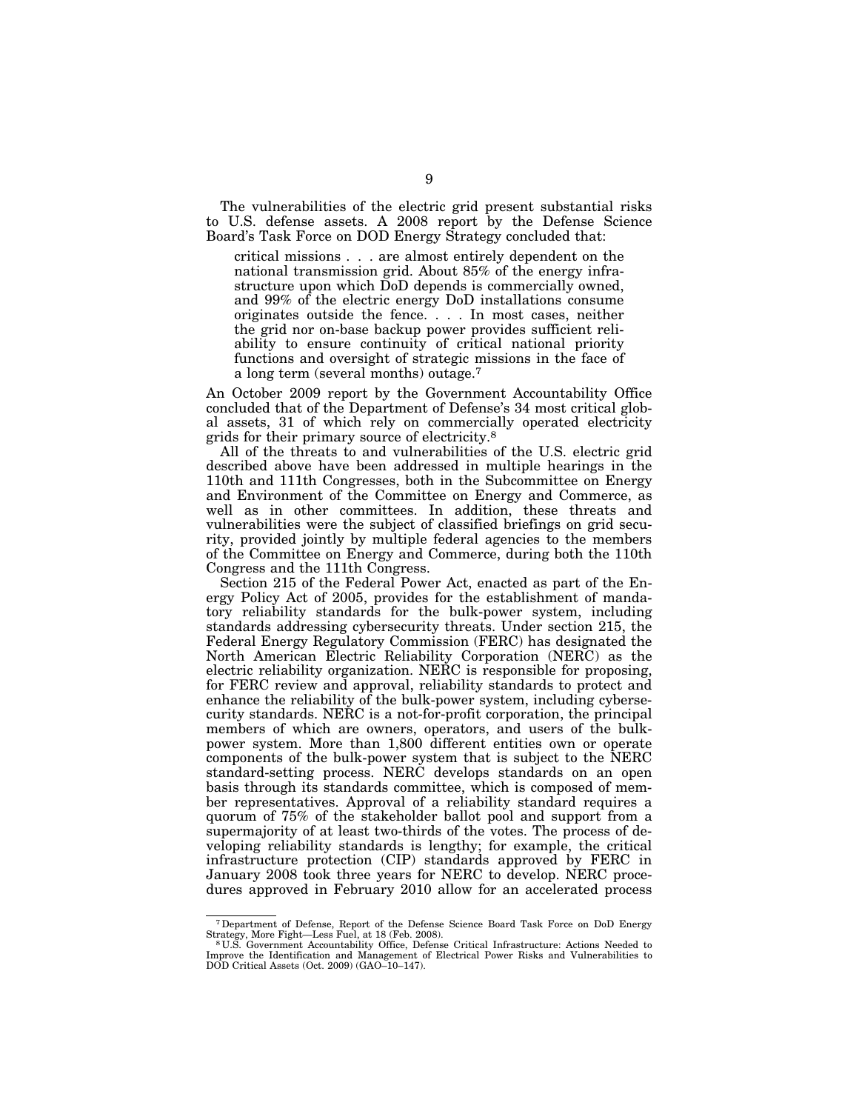The vulnerabilities of the electric grid present substantial risks to U.S. defense assets. A 2008 report by the Defense Science Board's Task Force on DOD Energy Strategy concluded that:

critical missions . . . are almost entirely dependent on the national transmission grid. About 85% of the energy infrastructure upon which DoD depends is commercially owned, and 99% of the electric energy DoD installations consume originates outside the fence. . . . In most cases, neither the grid nor on-base backup power provides sufficient reliability to ensure continuity of critical national priority functions and oversight of strategic missions in the face of a long term (several months) outage.7

An October 2009 report by the Government Accountability Office concluded that of the Department of Defense's 34 most critical global assets, 31 of which rely on commercially operated electricity grids for their primary source of electricity.8

All of the threats to and vulnerabilities of the U.S. electric grid described above have been addressed in multiple hearings in the 110th and 111th Congresses, both in the Subcommittee on Energy and Environment of the Committee on Energy and Commerce, as well as in other committees. In addition, these threats and vulnerabilities were the subject of classified briefings on grid security, provided jointly by multiple federal agencies to the members of the Committee on Energy and Commerce, during both the 110th Congress and the 111th Congress.

Section 215 of the Federal Power Act, enacted as part of the Energy Policy Act of 2005, provides for the establishment of mandatory reliability standards for the bulk-power system, including standards addressing cybersecurity threats. Under section 215, the Federal Energy Regulatory Commission (FERC) has designated the North American Electric Reliability Corporation (NERC) as the electric reliability organization. NERC is responsible for proposing, for FERC review and approval, reliability standards to protect and enhance the reliability of the bulk-power system, including cybersecurity standards. NERC is a not-for-profit corporation, the principal members of which are owners, operators, and users of the bulkpower system. More than 1,800 different entities own or operate components of the bulk-power system that is subject to the NERC standard-setting process. NERC develops standards on an open basis through its standards committee, which is composed of member representatives. Approval of a reliability standard requires a quorum of 75% of the stakeholder ballot pool and support from a supermajority of at least two-thirds of the votes. The process of developing reliability standards is lengthy; for example, the critical infrastructure protection (CIP) standards approved by FERC in January 2008 took three years for NERC to develop. NERC procedures approved in February 2010 allow for an accelerated process

<sup>7</sup>Department of Defense, Report of the Defense Science Board Task Force on DoD Energy Strategy, More Fight—Less Fuel, at 18 (Feb. 2008). 8 U.S. Government Accountability Office, Defense Critical Infrastructure: Actions Needed to

Improve the Identification and Management of Electrical Power Risks and Vulnerabilities to DOD Critical Assets (Oct. 2009) (GAO–10–147).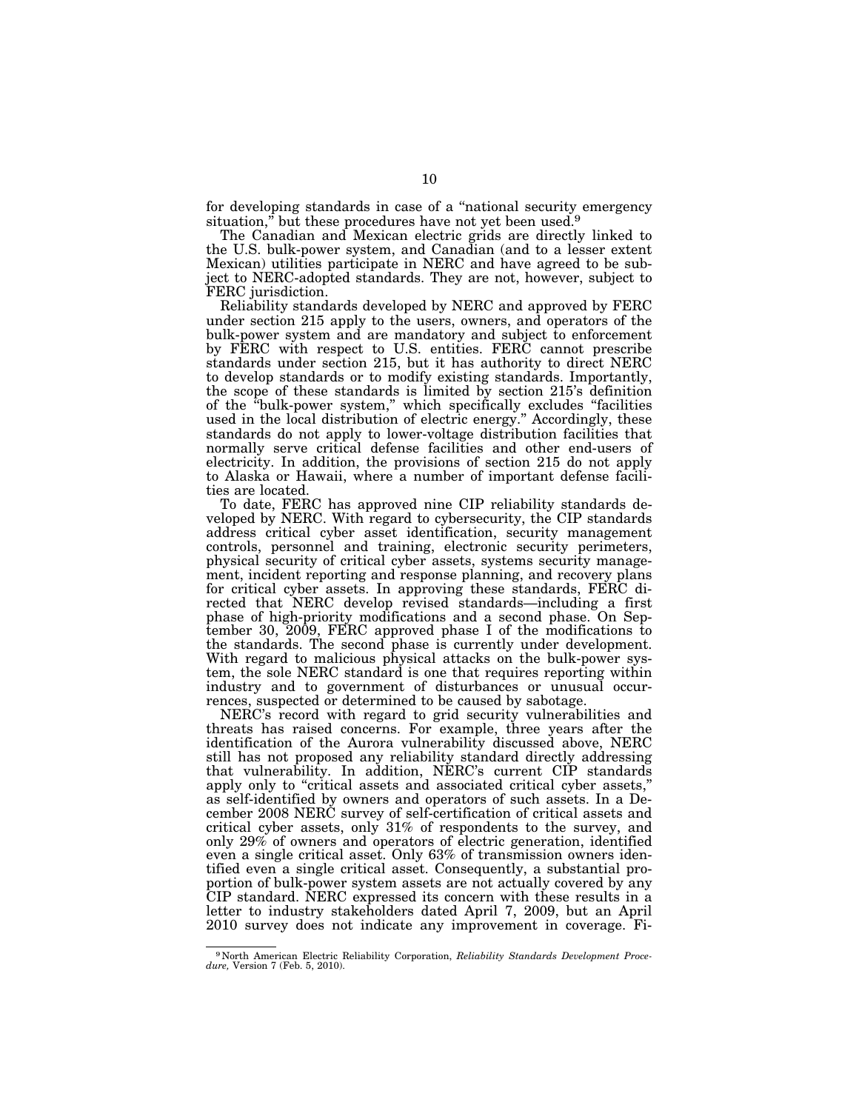for developing standards in case of a ''national security emergency situation," but these procedures have not yet been used.<sup>9</sup>

The Canadian and Mexican electric grids are directly linked to the U.S. bulk-power system, and Canadian (and to a lesser extent Mexican) utilities participate in NERC and have agreed to be subject to NERC-adopted standards. They are not, however, subject to FERC jurisdiction.

Reliability standards developed by NERC and approved by FERC under section 215 apply to the users, owners, and operators of the bulk-power system and are mandatory and subject to enforcement by FERC with respect to U.S. entities. FERC cannot prescribe standards under section 215, but it has authority to direct NERC to develop standards or to modify existing standards. Importantly, the scope of these standards is limited by section 215's definition of the ''bulk-power system,'' which specifically excludes ''facilities used in the local distribution of electric energy.'' Accordingly, these standards do not apply to lower-voltage distribution facilities that normally serve critical defense facilities and other end-users of electricity. In addition, the provisions of section 215 do not apply to Alaska or Hawaii, where a number of important defense facilities are located.

To date, FERC has approved nine CIP reliability standards developed by NERC. With regard to cybersecurity, the CIP standards address critical cyber asset identification, security management controls, personnel and training, electronic security perimeters, physical security of critical cyber assets, systems security management, incident reporting and response planning, and recovery plans for critical cyber assets. In approving these standards, FERC directed that NERC develop revised standards—including a first phase of high-priority modifications and a second phase. On September 30, 2009, FERC approved phase I of the modifications to the standards. The second phase is currently under development. With regard to malicious physical attacks on the bulk-power system, the sole NERC standard is one that requires reporting within industry and to government of disturbances or unusual occurrences, suspected or determined to be caused by sabotage.

NERC's record with regard to grid security vulnerabilities and threats has raised concerns. For example, three years after the identification of the Aurora vulnerability discussed above, NERC still has not proposed any reliability standard directly addressing that vulnerability. In addition, NERC's current CIP standards apply only to "critical assets and associated critical cyber assets," as self-identified by owners and operators of such assets. In a December 2008 NERC survey of self-certification of critical assets and critical cyber assets, only 31% of respondents to the survey, and only 29% of owners and operators of electric generation, identified even a single critical asset. Only 63% of transmission owners identified even a single critical asset. Consequently, a substantial proportion of bulk-power system assets are not actually covered by any CIP standard. NERC expressed its concern with these results in a letter to industry stakeholders dated April 7, 2009, but an April 2010 survey does not indicate any improvement in coverage. Fi-

<sup>9</sup> North American Electric Reliability Corporation, *Reliability Standards Development Procedure,* Version 7 (Feb. 5, 2010).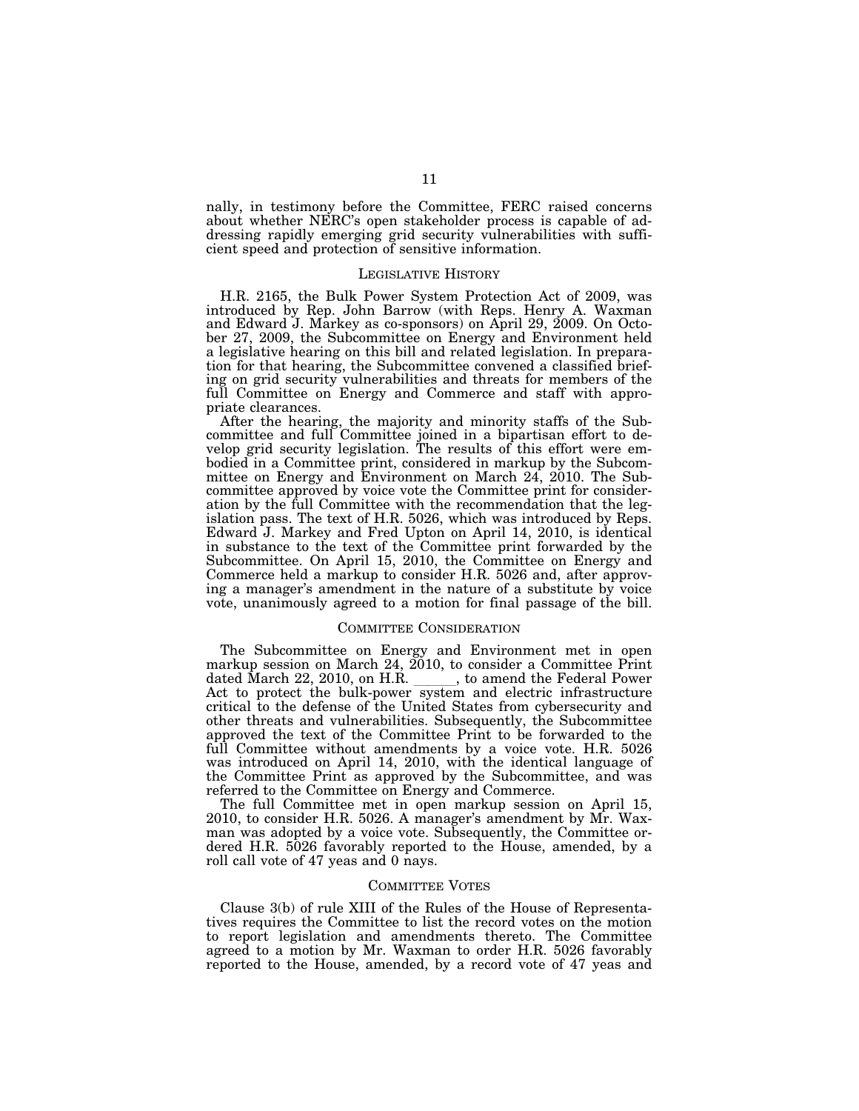nally, in testimony before the Committee, FERC raised concerns about whether NERC's open stakeholder process is capable of addressing rapidly emerging grid security vulnerabilities with sufficient speed and protection of sensitive information.

## LEGISLATIVE HISTORY

H.R. 2165, the Bulk Power System Protection Act of 2009, was introduced by Rep. John Barrow (with Reps. Henry A. Waxman and Edward J. Markey as co-sponsors) on April 29, 2009. On October 27, 2009, the Subcommittee on Energy and Environment held a legislative hearing on this bill and related legislation. In preparation for that hearing, the Subcommittee convened a classified briefing on grid security vulnerabilities and threats for members of the full Committee on Energy and Commerce and staff with appropriate clearances.

After the hearing, the majority and minority staffs of the Subcommittee and full Committee joined in a bipartisan effort to develop grid security legislation. The results of this effort were embodied in a Committee print, considered in markup by the Subcommittee on Energy and Environment on March 24, 2010. The Subcommittee approved by voice vote the Committee print for consideration by the full Committee with the recommendation that the legislation pass. The text of H.R. 5026, which was introduced by Reps. Edward J. Markey and Fred Upton on April 14, 2010, is identical in substance to the text of the Committee print forwarded by the Subcommittee. On April 15, 2010, the Committee on Energy and Commerce held a markup to consider H.R. 5026 and, after approving a manager's amendment in the nature of a substitute by voice vote, unanimously agreed to a motion for final passage of the bill.

### COMMITTEE CONSIDERATION

The Subcommittee on Energy and Environment met in open markup session on March 24,  $2010$ , to consider a Committee Print dated March 22, 2010, on H.R. , to amend the Federal Power dated March 22, 2010, on H.R. \_\_\_\_\_\_, to amend the Federal Power<br>Act to protect the bulk-power system and electric infrastructure critical to the defense of the United States from cybersecurity and other threats and vulnerabilities. Subsequently, the Subcommittee approved the text of the Committee Print to be forwarded to the full Committee without amendments by a voice vote. H.R. 5026 was introduced on April 14, 2010, with the identical language of the Committee Print as approved by the Subcommittee, and was referred to the Committee on Energy and Commerce.

The full Committee met in open markup session on April 15, 2010, to consider H.R. 5026. A manager's amendment by Mr. Waxman was adopted by a voice vote. Subsequently, the Committee ordered H.R. 5026 favorably reported to the House, amended, by a roll call vote of 47 yeas and 0 nays.

## COMMITTEE VOTES

Clause 3(b) of rule XIII of the Rules of the House of Representatives requires the Committee to list the record votes on the motion to report legislation and amendments thereto. The Committee agreed to a motion by Mr. Waxman to order H.R. 5026 favorably reported to the House, amended, by a record vote of 47 yeas and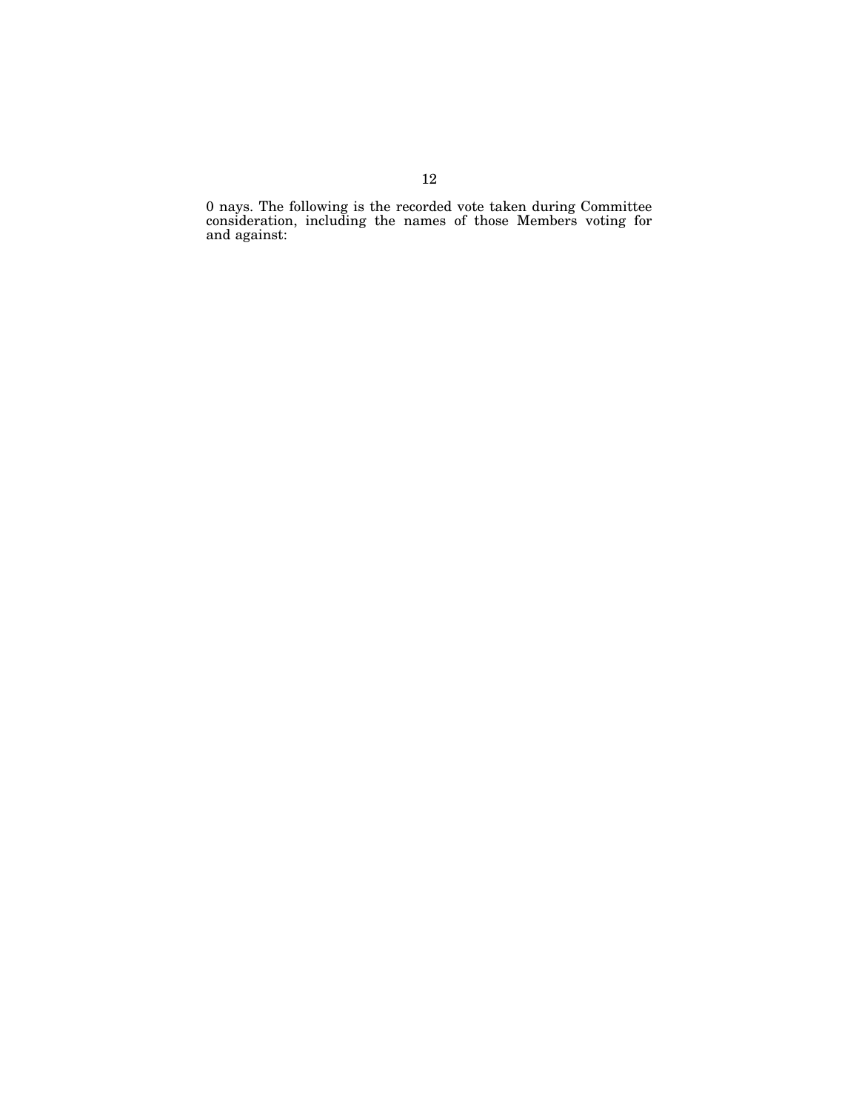0 nays. The following is the recorded vote taken during Committee consideration, including the names of those Members voting for and against: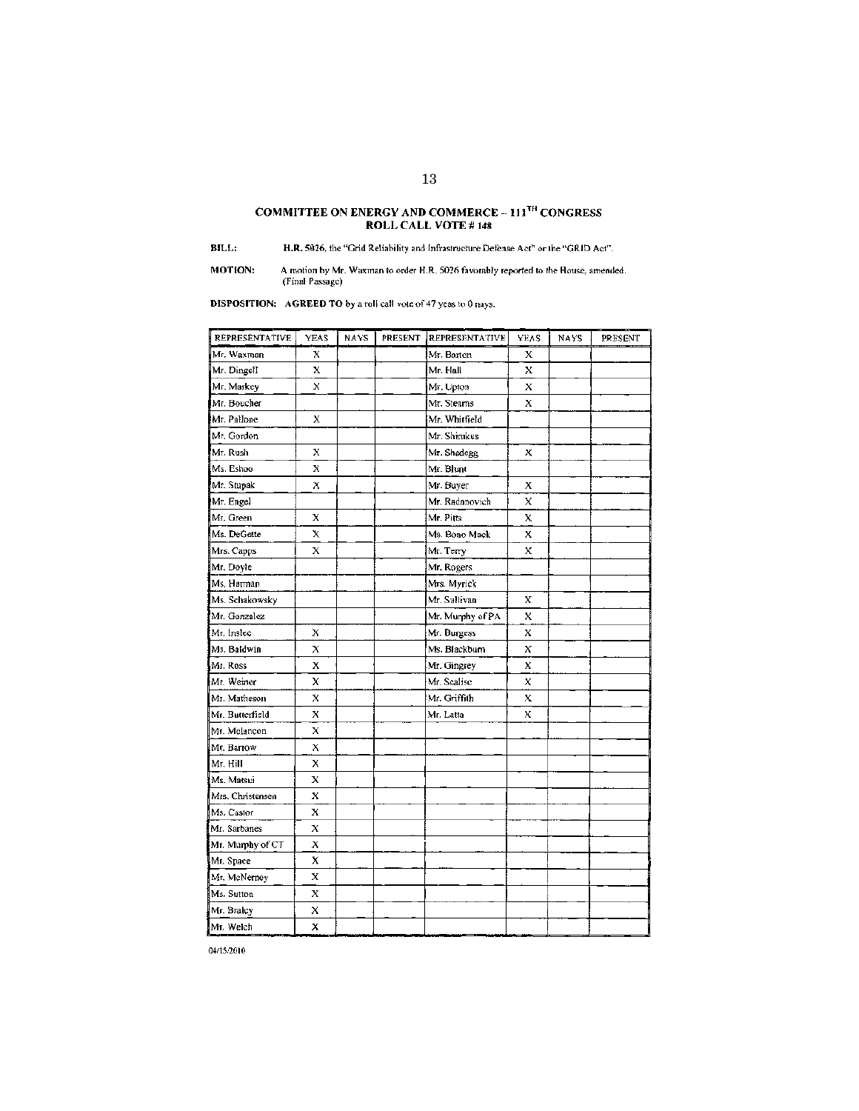# COMMITTEE ON ENERGY AND COMMERCE ~  $111^{7\text{H}}$  CONGRESS ROLL CALL VOTE # 148

 $BILL:$ H.R. 5026, the "Grid Reliability and Infrastructure Defense Act" or the "GRID Act".

A motion by Mr. Waxman to order H.R. 5026 favorably reported to the House, amended. (Final Passage) MOTION:

**DISPOSITION:** AGREED TO by a roll call vote of 47 yeas to 0 nays.

| <b>REPRESENTATIVE</b> | <b>YEAS</b> | <b>NAYS</b> | PRESENT | <b>REPRESENTATIVE</b> | <b>YEAS</b> | <b>NAYS</b> | PRESENT |
|-----------------------|-------------|-------------|---------|-----------------------|-------------|-------------|---------|
| Mr. Waxman            | x           |             |         | Mr. Barton            | X           |             |         |
| Mr. Dingell           | x           |             |         | Mr. Hall              | x           |             |         |
| Mr. Markey            | x           |             |         | Mr. Upton             | x           |             |         |
| Mr. Boucher           |             |             |         | Mr. Stearns           | X           |             |         |
| Mr. Pallone           | X           |             |         | Mr. Whitfield         |             |             |         |
| Mr. Gordon            |             |             |         | Mr. Shinikus          |             |             |         |
| Mr. Rush              | х           |             |         | Mr. Shadegg           | х           |             |         |
| Ms. Eshoo             | X           |             |         | Mr. Blunt             |             |             |         |
| Mr. Stupak            | х           |             |         | Mr. Buyer             | X           |             |         |
| Mr. Engel             |             |             |         | Mr. Radanovich        | x           |             |         |
| Mr. Green             | x           |             |         | Mr. Pitts             | X.          |             |         |
| Ms. DeGette           | x           |             |         | Ms. Bono Mack         | x           |             |         |
| Mrs. Capps            | X           |             |         | Mr. Terry             | X.          |             |         |
| Mr. Doyle             |             |             |         | Mr. Rogers            |             |             |         |
| Ms. Harman            |             |             |         | Mrs. Myrick           |             |             |         |
| Ms. Schakowsky        |             |             |         | Mr. Sullivan          | х           |             |         |
| Mr. Gonzalez          |             |             |         | Mr. Murphy of PA      | x           |             |         |
| Mr. Instee            | Х           |             |         | Mr. Burgess           | x           |             |         |
| Ms. Baldwin           | X           |             |         | Ms. Blackburn         | X           |             |         |
| Mr. Ross              | x           |             |         | Mr. Gingrey           | x           |             |         |
| Mr. Weiner            | x           |             |         | Mr. Scalise           | X           |             |         |
| Mr. Matheson          | х           |             |         | Mr. Griffith          | x           |             |         |
| Mr. Butterfield       | x           |             |         | Mr. Latta             | X           |             |         |
| Mr. Melancon          | x           |             |         |                       |             |             |         |
| Mr. Barrow            | x           |             |         |                       |             |             |         |
| Mr. Hill              | х           |             |         |                       |             |             |         |
| Ms. Matsui            | X           |             |         |                       |             |             |         |
| Mrs. Christensen      | x           |             |         |                       |             |             |         |
| Ms. Castor            | x           |             |         |                       |             |             |         |
| Mr. Sarbanes          | Х           |             |         |                       |             |             |         |
| Mr. Murphy of CT      | x           |             |         |                       |             |             |         |
| Mr. Space             | х           |             |         |                       |             |             |         |
| Mr. McNerney          | х           |             |         |                       |             |             |         |
| Ms. Sutton            | x           |             |         |                       |             |             |         |
| Mr. Braley            | χ           |             |         |                       |             |             |         |
| Mr. Welch             | X           |             |         |                       |             |             |         |

04/15/2010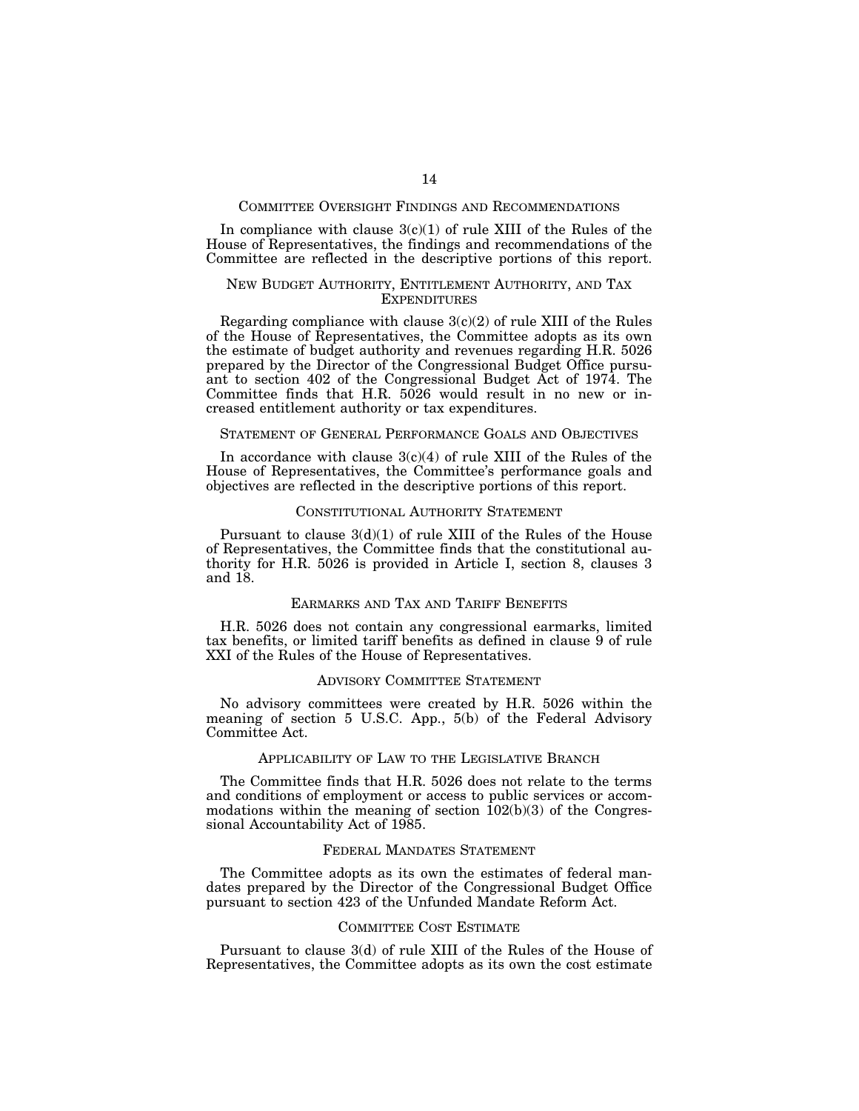## COMMITTEE OVERSIGHT FINDINGS AND RECOMMENDATIONS

In compliance with clause  $3(c)(1)$  of rule XIII of the Rules of the House of Representatives, the findings and recommendations of the Committee are reflected in the descriptive portions of this report.

# NEW BUDGET AUTHORITY, ENTITLEMENT AUTHORITY, AND TAX **EXPENDITURES**

Regarding compliance with clause  $3(c)(2)$  of rule XIII of the Rules of the House of Representatives, the Committee adopts as its own the estimate of budget authority and revenues regarding H.R. 5026 prepared by the Director of the Congressional Budget Office pursuant to section 402 of the Congressional Budget Act of 1974. The Committee finds that H.R. 5026 would result in no new or increased entitlement authority or tax expenditures.

## STATEMENT OF GENERAL PERFORMANCE GOALS AND OBJECTIVES

In accordance with clause  $3(c)(4)$  of rule XIII of the Rules of the House of Representatives, the Committee's performance goals and objectives are reflected in the descriptive portions of this report.

## CONSTITUTIONAL AUTHORITY STATEMENT

Pursuant to clause  $3(d)(1)$  of rule XIII of the Rules of the House of Representatives, the Committee finds that the constitutional authority for H.R. 5026 is provided in Article I, section 8, clauses 3 and 18.

## EARMARKS AND TAX AND TARIFF BENEFITS

H.R. 5026 does not contain any congressional earmarks, limited tax benefits, or limited tariff benefits as defined in clause 9 of rule XXI of the Rules of the House of Representatives.

## ADVISORY COMMITTEE STATEMENT

No advisory committees were created by H.R. 5026 within the meaning of section 5 U.S.C. App., 5(b) of the Federal Advisory Committee Act.

## APPLICABILITY OF LAW TO THE LEGISLATIVE BRANCH

The Committee finds that H.R. 5026 does not relate to the terms and conditions of employment or access to public services or accommodations within the meaning of section 102(b)(3) of the Congressional Accountability Act of 1985.

## FEDERAL MANDATES STATEMENT

The Committee adopts as its own the estimates of federal mandates prepared by the Director of the Congressional Budget Office pursuant to section 423 of the Unfunded Mandate Reform Act.

# COMMITTEE COST ESTIMATE

Pursuant to clause 3(d) of rule XIII of the Rules of the House of Representatives, the Committee adopts as its own the cost estimate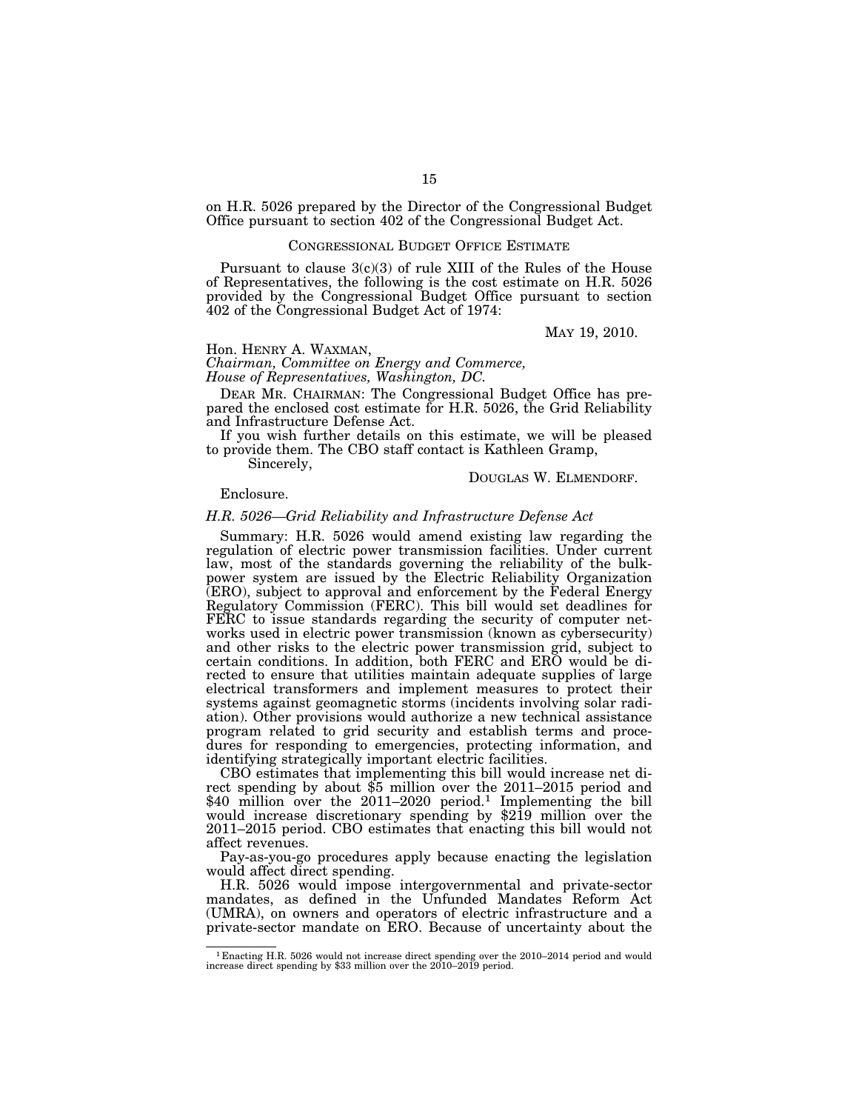on H.R. 5026 prepared by the Director of the Congressional Budget Office pursuant to section 402 of the Congressional Budget Act.

# CONGRESSIONAL BUDGET OFFICE ESTIMATE

Pursuant to clause 3(c)(3) of rule XIII of the Rules of the House of Representatives, the following is the cost estimate on H.R. 5026 provided by the Congressional Budget Office pursuant to section 402 of the Congressional Budget Act of 1974:

MAY 19, 2010.

## Hon. HENRY A. WAXMAN,

*Chairman, Committee on Energy and Commerce, House of Representatives, Washington, DC.* 

DEAR MR. CHAIRMAN: The Congressional Budget Office has prepared the enclosed cost estimate for H.R. 5026, the Grid Reliability and Infrastructure Defense Act.

If you wish further details on this estimate, we will be pleased to provide them. The CBO staff contact is Kathleen Gramp,

Sincerely,

## DOUGLAS W. ELMENDORF.

Enclosure.

# *H.R. 5026—Grid Reliability and Infrastructure Defense Act*

Summary: H.R. 5026 would amend existing law regarding the regulation of electric power transmission facilities. Under current law, most of the standards governing the reliability of the bulkpower system are issued by the Electric Reliability Organization (ERO), subject to approval and enforcement by the Federal Energy Regulatory Commission (FERC). This bill would set deadlines for FERC to issue standards regarding the security of computer networks used in electric power transmission (known as cybersecurity) and other risks to the electric power transmission grid, subject to certain conditions. In addition, both FERC and ERO would be directed to ensure that utilities maintain adequate supplies of large electrical transformers and implement measures to protect their systems against geomagnetic storms (incidents involving solar radiation). Other provisions would authorize a new technical assistance program related to grid security and establish terms and procedures for responding to emergencies, protecting information, and identifying strategically important electric facilities.

CBO estimates that implementing this bill would increase net di- rect spending by about \$5 million over the 2011–2015 period and \$40 million over the 2011–2020 period.<sup>1</sup> Implementing the bill would increase discretionary spending by \$219 million over the 2011–2015 period. CBO estimates that enacting this bill would not affect revenues.

Pay-as-you-go procedures apply because enacting the legislation would affect direct spending.

H.R. 5026 would impose intergovernmental and private-sector mandates, as defined in the Unfunded Mandates Reform Act (UMRA), on owners and operators of electric infrastructure and a private-sector mandate on ERO. Because of uncertainty about the

<sup>1</sup> Enacting H.R. 5026 would not increase direct spending over the 2010–2014 period and would increase direct spending by \$33 million over the 2010–2019 period.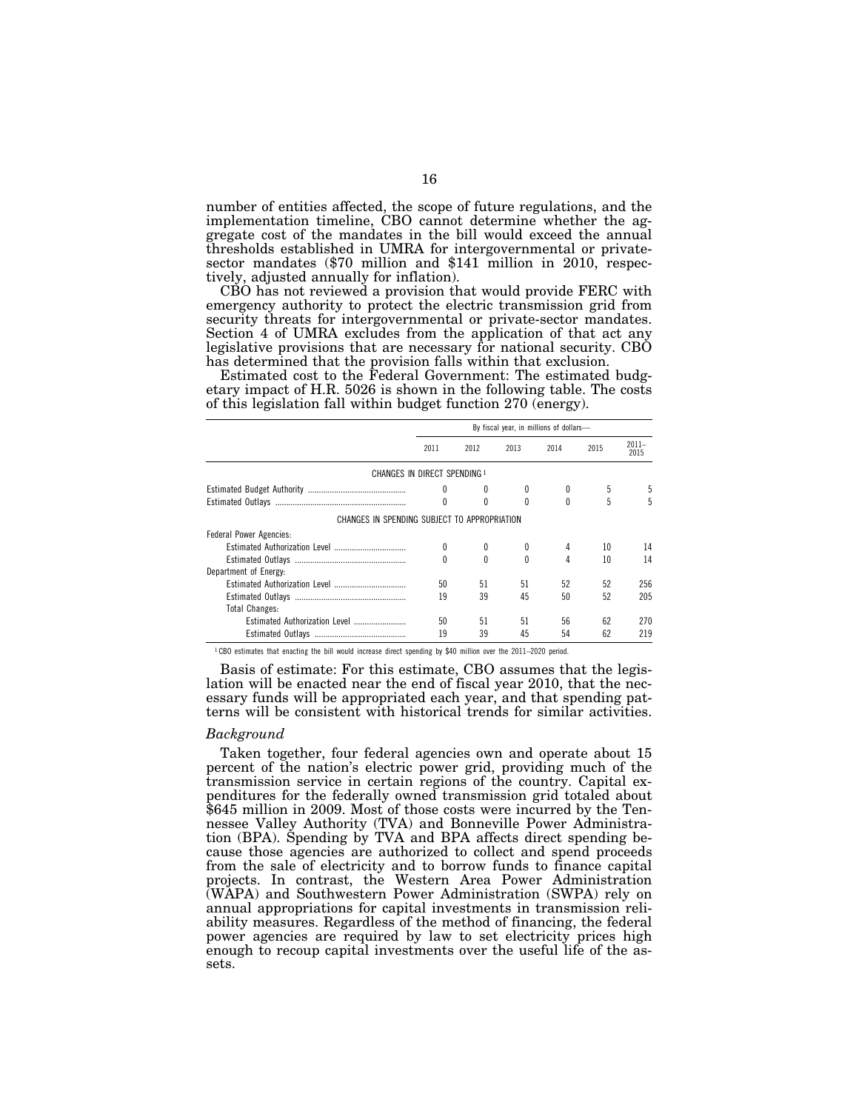number of entities affected, the scope of future regulations, and the implementation timeline, CBO cannot determine whether the aggregate cost of the mandates in the bill would exceed the annual thresholds established in UMRA for intergovernmental or privatesector mandates (\$70 million and \$141 million in 2010, respectively, adjusted annually for inflation).

CBO has not reviewed a provision that would provide FERC with emergency authority to protect the electric transmission grid from security threats for intergovernmental or private-sector mandates. Section 4 of UMRA excludes from the application of that act any legislative provisions that are necessary for national security. CBO has determined that the provision falls within that exclusion.

Estimated cost to the Federal Government: The estimated budgetary impact of H.R. 5026 is shown in the following table. The costs of this legislation fall within budget function 270 (energy).

|                                              | By fiscal year, in millions of dollars- |          |          |          |      |                  |  |  |
|----------------------------------------------|-----------------------------------------|----------|----------|----------|------|------------------|--|--|
|                                              | 2011                                    | 2012     | 2013     | 2014     | 2015 | $2011 -$<br>2015 |  |  |
| CHANGES IN DIRECT SPENDING 1                 |                                         |          |          |          |      |                  |  |  |
|                                              | 0                                       |          |          | 0        | 5    |                  |  |  |
|                                              | 0                                       | $\theta$ | $\Omega$ | $\theta$ | 5    | 5                |  |  |
| CHANGES IN SPENDING SUBJECT TO APPROPRIATION |                                         |          |          |          |      |                  |  |  |
| Federal Power Agencies:                      |                                         |          |          |          |      |                  |  |  |
|                                              | 0                                       |          |          | 4        | 10   | 14               |  |  |
|                                              | 0                                       | U        | $\Omega$ | 4        | 10   | 14               |  |  |
| Department of Energy:                        |                                         |          |          |          |      |                  |  |  |
|                                              | 50                                      | 51       | 51       | 52       | 52   | 256              |  |  |
|                                              | 19                                      | 39       | 45       | 50       | 52   | 205              |  |  |
| <b>Total Changes:</b>                        |                                         |          |          |          |      |                  |  |  |
|                                              | 50                                      | 51       | 51       | 56       | 62   | 270              |  |  |
|                                              | 19                                      | 39       | 45       | 54       | 62   | 219              |  |  |

1 CBO estimates that enacting the bill would increase direct spending by \$40 million over the 2011–2020 period.

Basis of estimate: For this estimate, CBO assumes that the legislation will be enacted near the end of fiscal year 2010, that the necessary funds will be appropriated each year, and that spending patterns will be consistent with historical trends for similar activities.

### *Background*

Taken together, four federal agencies own and operate about 15 percent of the nation's electric power grid, providing much of the transmission service in certain regions of the country. Capital expenditures for the federally owned transmission grid totaled about \$645 million in 2009. Most of those costs were incurred by the Tennessee Valley Authority (TVA) and Bonneville Power Administration (BPA). Spending by TVA and BPA affects direct spending because those agencies are authorized to collect and spend proceeds from the sale of electricity and to borrow funds to finance capital projects. In contrast, the Western Area Power Administration (WAPA) and Southwestern Power Administration (SWPA) rely on annual appropriations for capital investments in transmission reliability measures. Regardless of the method of financing, the federal power agencies are required by law to set electricity prices high enough to recoup capital investments over the useful life of the assets.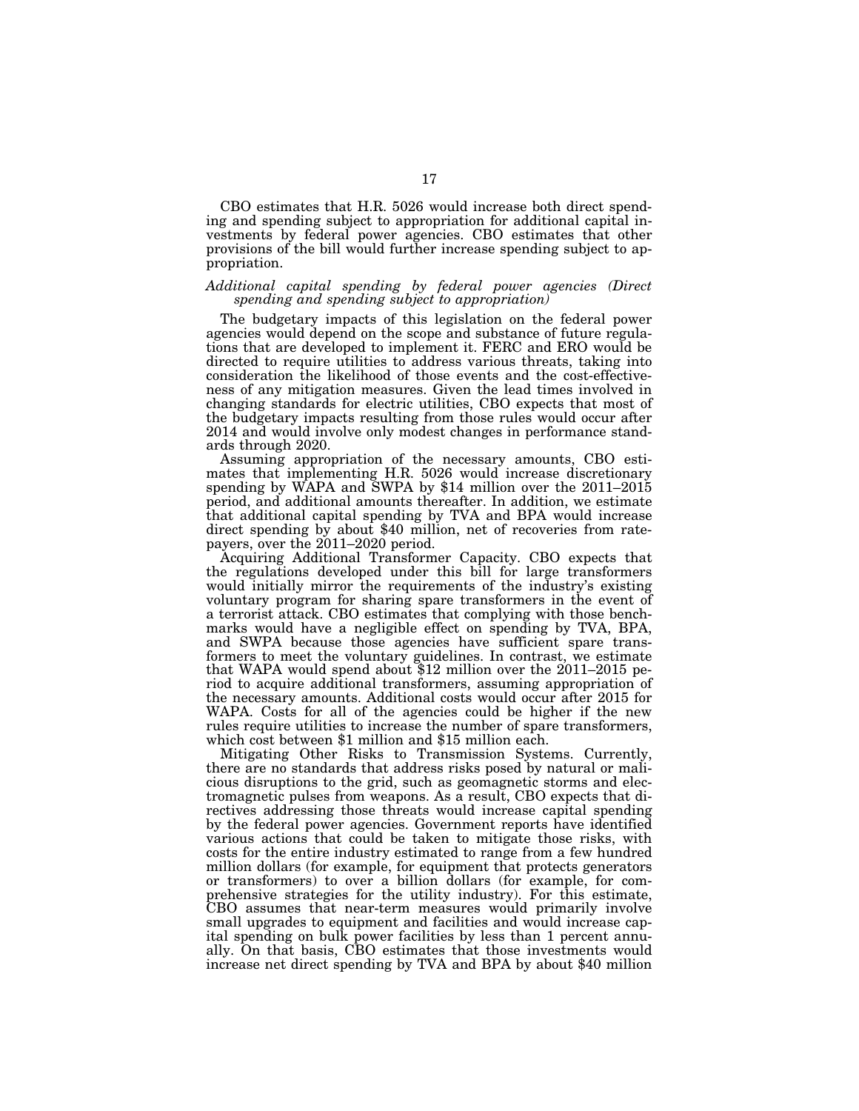CBO estimates that H.R. 5026 would increase both direct spending and spending subject to appropriation for additional capital investments by federal power agencies. CBO estimates that other provisions of the bill would further increase spending subject to appropriation.

## *Additional capital spending by federal power agencies (Direct spending and spending subject to appropriation)*

The budgetary impacts of this legislation on the federal power agencies would depend on the scope and substance of future regulations that are developed to implement it. FERC and ERO would be directed to require utilities to address various threats, taking into consideration the likelihood of those events and the cost-effectiveness of any mitigation measures. Given the lead times involved in changing standards for electric utilities, CBO expects that most of the budgetary impacts resulting from those rules would occur after 2014 and would involve only modest changes in performance standards through 2020.

Assuming appropriation of the necessary amounts, CBO estimates that implementing H.R. 5026 would increase discretionary spending by WAPA and SWPA by \$14 million over the 2011–2015 period, and additional amounts thereafter. In addition, we estimate that additional capital spending by TVA and BPA would increase direct spending by about \$40 million, net of recoveries from ratepayers, over the 2011–2020 period.

Acquiring Additional Transformer Capacity. CBO expects that the regulations developed under this bill for large transformers would initially mirror the requirements of the industry's existing voluntary program for sharing spare transformers in the event of a terrorist attack. CBO estimates that complying with those benchmarks would have a negligible effect on spending by TVA, BPA, and SWPA because those agencies have sufficient spare transformers to meet the voluntary guidelines. In contrast, we estimate that WAPA would spend about \$12 million over the 2011–2015 period to acquire additional transformers, assuming appropriation of the necessary amounts. Additional costs would occur after 2015 for WAPA. Costs for all of the agencies could be higher if the new rules require utilities to increase the number of spare transformers, which cost between \$1 million and \$15 million each.

Mitigating Other Risks to Transmission Systems. Currently, there are no standards that address risks posed by natural or malicious disruptions to the grid, such as geomagnetic storms and electromagnetic pulses from weapons. As a result, CBO expects that directives addressing those threats would increase capital spending by the federal power agencies. Government reports have identified various actions that could be taken to mitigate those risks, with costs for the entire industry estimated to range from a few hundred million dollars (for example, for equipment that protects generators or transformers) to over a billion dollars (for example, for comprehensive strategies for the utility industry). For this estimate, CBO assumes that near-term measures would primarily involve small upgrades to equipment and facilities and would increase capital spending on bulk power facilities by less than 1 percent annually. On that basis, CBO estimates that those investments would increase net direct spending by TVA and BPA by about \$40 million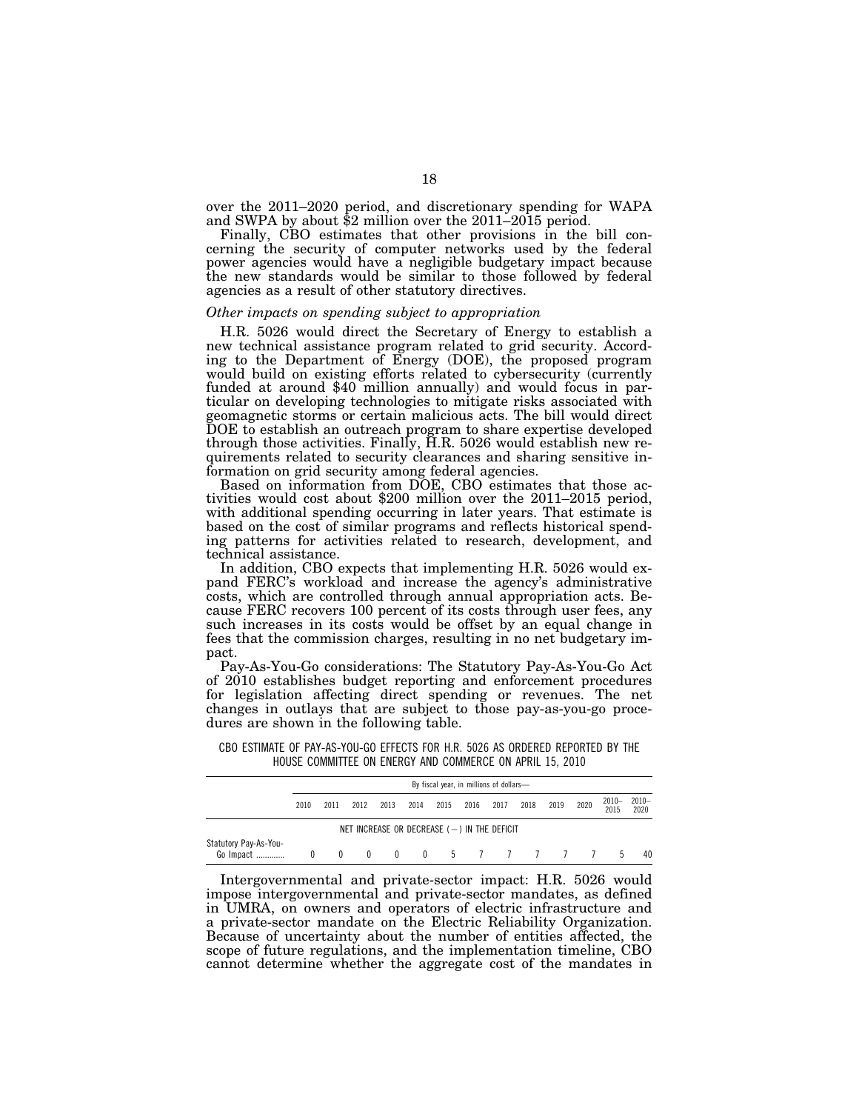over the 2011–2020 period, and discretionary spending for WAPA and SWPA by about \$2 million over the 2011–2015 period.

Finally, CBO estimates that other provisions in the bill concerning the security of computer networks used by the federal power agencies would have a negligible budgetary impact because the new standards would be similar to those followed by federal agencies as a result of other statutory directives.

## *Other impacts on spending subject to appropriation*

H.R. 5026 would direct the Secretary of Energy to establish a new technical assistance program related to grid security. According to the Department of Energy (DOE), the proposed program would build on existing efforts related to cybersecurity (currently funded at around \$40 million annually) and would focus in particular on developing technologies to mitigate risks associated with geomagnetic storms or certain malicious acts. The bill would direct DOE to establish an outreach program to share expertise developed through those activities. Finally, H.R. 5026 would establish new requirements related to security clearances and sharing sensitive information on grid security among federal agencies.

Based on information from DOE, CBO estimates that those activities would cost about \$200 million over the 2011–2015 period, with additional spending occurring in later years. That estimate is based on the cost of similar programs and reflects historical spending patterns for activities related to research, development, and technical assistance.

In addition, CBO expects that implementing H.R. 5026 would expand FERC's workload and increase the agency's administrative costs, which are controlled through annual appropriation acts. Because FERC recovers 100 percent of its costs through user fees, any such increases in its costs would be offset by an equal change in fees that the commission charges, resulting in no net budgetary impact.

Pay-As-You-Go considerations: The Statutory Pay-As-You-Go Act of 2010 establishes budget reporting and enforcement procedures for legislation affecting direct spending or revenues. The net changes in outlays that are subject to those pay-as-you-go procedures are shown in the following table.

CBO ESTIMATE OF PAY-AS-YOU-GO EFFECTS FOR H.R. 5026 AS ORDERED REPORTED BY THE HOUSE COMMITTEE ON ENERGY AND COMMERCE ON APRIL 15, 2010

|                                                  | By fiscal year, in millions of dollars- |                |              |      |      |                 |      |      |      |      |      |                  |                  |
|--------------------------------------------------|-----------------------------------------|----------------|--------------|------|------|-----------------|------|------|------|------|------|------------------|------------------|
|                                                  | 2010                                    | 2011           | 2012         | 2013 | 2014 | 2015            | 2016 | 2017 | 2018 | 2019 | 2020 | $2010 -$<br>2015 | $2010 -$<br>2020 |
| NET INCREASE OR DECREASE $($ $ )$ in the deficit |                                         |                |              |      |      |                 |      |      |      |      |      |                  |                  |
| Statutory Pay-As-You-<br>Go Impact               |                                         | $\overline{0}$ | $\mathbf{0}$ |      |      | 0 0 5 7 7 7 7 7 |      |      |      |      |      | -5               | 40               |

Intergovernmental and private-sector impact: H.R. 5026 would impose intergovernmental and private-sector mandates, as defined in UMRA, on owners and operators of electric infrastructure and a private-sector mandate on the Electric Reliability Organization. Because of uncertainty about the number of entities affected, the scope of future regulations, and the implementation timeline, CBO cannot determine whether the aggregate cost of the mandates in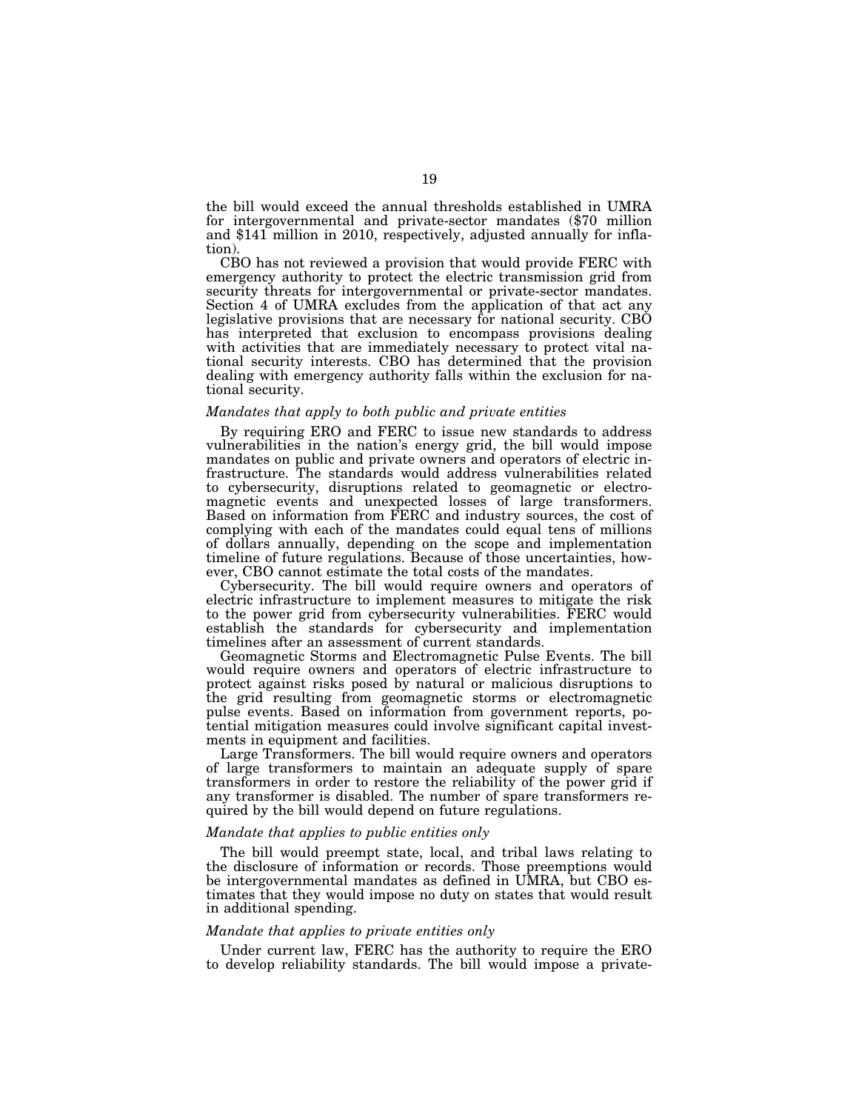the bill would exceed the annual thresholds established in UMRA for intergovernmental and private-sector mandates (\$70 million and \$141 million in 2010, respectively, adjusted annually for inflation).

CBO has not reviewed a provision that would provide FERC with emergency authority to protect the electric transmission grid from security threats for intergovernmental or private-sector mandates. Section 4 of UMRA excludes from the application of that act any legislative provisions that are necessary for national security. CBO has interpreted that exclusion to encompass provisions dealing with activities that are immediately necessary to protect vital national security interests. CBO has determined that the provision dealing with emergency authority falls within the exclusion for national security.

## *Mandates that apply to both public and private entities*

By requiring ERO and FERC to issue new standards to address vulnerabilities in the nation's energy grid, the bill would impose mandates on public and private owners and operators of electric infrastructure. The standards would address vulnerabilities related to cybersecurity, disruptions related to geomagnetic or electromagnetic events and unexpected losses of large transformers. Based on information from FERC and industry sources, the cost of complying with each of the mandates could equal tens of millions of dollars annually, depending on the scope and implementation timeline of future regulations. Because of those uncertainties, however, CBO cannot estimate the total costs of the mandates.

Cybersecurity. The bill would require owners and operators of electric infrastructure to implement measures to mitigate the risk to the power grid from cybersecurity vulnerabilities. FERC would establish the standards for cybersecurity and implementation timelines after an assessment of current standards.

Geomagnetic Storms and Electromagnetic Pulse Events. The bill would require owners and operators of electric infrastructure to protect against risks posed by natural or malicious disruptions to the grid resulting from geomagnetic storms or electromagnetic pulse events. Based on information from government reports, potential mitigation measures could involve significant capital investments in equipment and facilities.

Large Transformers. The bill would require owners and operators of large transformers to maintain an adequate supply of spare transformers in order to restore the reliability of the power grid if any transformer is disabled. The number of spare transformers required by the bill would depend on future regulations.

# *Mandate that applies to public entities only*

The bill would preempt state, local, and tribal laws relating to the disclosure of information or records. Those preemptions would be intergovernmental mandates as defined in UMRA, but CBO estimates that they would impose no duty on states that would result in additional spending.

## *Mandate that applies to private entities only*

Under current law, FERC has the authority to require the ERO to develop reliability standards. The bill would impose a private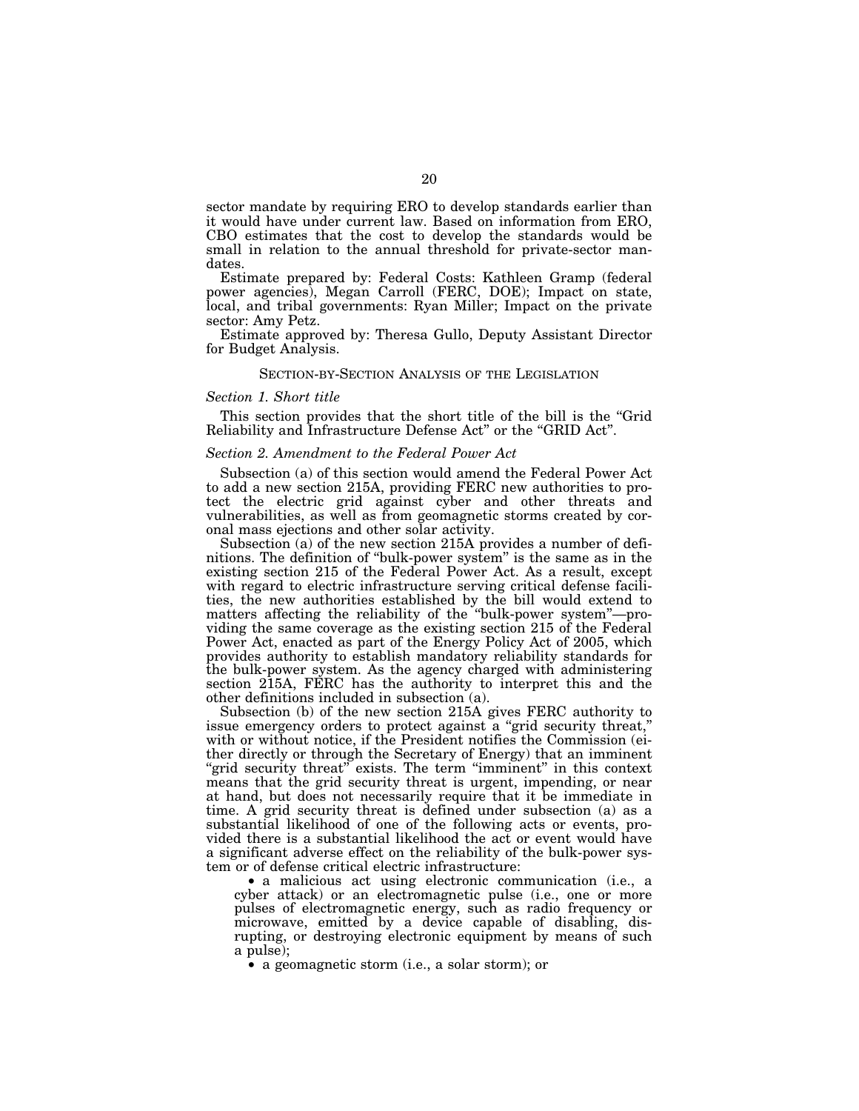sector mandate by requiring ERO to develop standards earlier than it would have under current law. Based on information from ERO, CBO estimates that the cost to develop the standards would be small in relation to the annual threshold for private-sector mandates.

Estimate prepared by: Federal Costs: Kathleen Gramp (federal power agencies), Megan Carroll (FERC, DOE); Impact on state, local, and tribal governments: Ryan Miller; Impact on the private sector: Amy Petz.

Estimate approved by: Theresa Gullo, Deputy Assistant Director for Budget Analysis.

## SECTION-BY-SECTION ANALYSIS OF THE LEGISLATION

## *Section 1. Short title*

This section provides that the short title of the bill is the "Grid" Reliability and Infrastructure Defense Act'' or the ''GRID Act''.

## *Section 2. Amendment to the Federal Power Act*

Subsection (a) of this section would amend the Federal Power Act to add a new section 215A, providing FERC new authorities to protect the electric grid against cyber and other threats and vulnerabilities, as well as from geomagnetic storms created by coronal mass ejections and other solar activity.

Subsection (a) of the new section 215A provides a number of definitions. The definition of ''bulk-power system'' is the same as in the existing section 215 of the Federal Power Act. As a result, except with regard to electric infrastructure serving critical defense facilities, the new authorities established by the bill would extend to matters affecting the reliability of the ''bulk-power system''—providing the same coverage as the existing section 215 of the Federal Power Act, enacted as part of the Energy Policy Act of 2005, which provides authority to establish mandatory reliability standards for the bulk-power system. As the agency charged with administering section 215A, FERC has the authority to interpret this and the other definitions included in subsection (a).

Subsection (b) of the new section 215A gives FERC authority to issue emergency orders to protect against a "grid security threat," with or without notice, if the President notifies the Commission (either directly or through the Secretary of Energy) that an imminent "grid security threat" exists. The term "imminent" in this context means that the grid security threat is urgent, impending, or near at hand, but does not necessarily require that it be immediate in time. A grid security threat is defined under subsection (a) as a substantial likelihood of one of the following acts or events, provided there is a substantial likelihood the act or event would have a significant adverse effect on the reliability of the bulk-power system or of defense critical electric infrastructure:

• a malicious act using electronic communication (i.e., a cyber attack) or an electromagnetic pulse (i.e., one or more pulses of electromagnetic energy, such as radio frequency or microwave, emitted by a device capable of disabling, disrupting, or destroying electronic equipment by means of such a pulse);

• a geomagnetic storm (i.e., a solar storm); or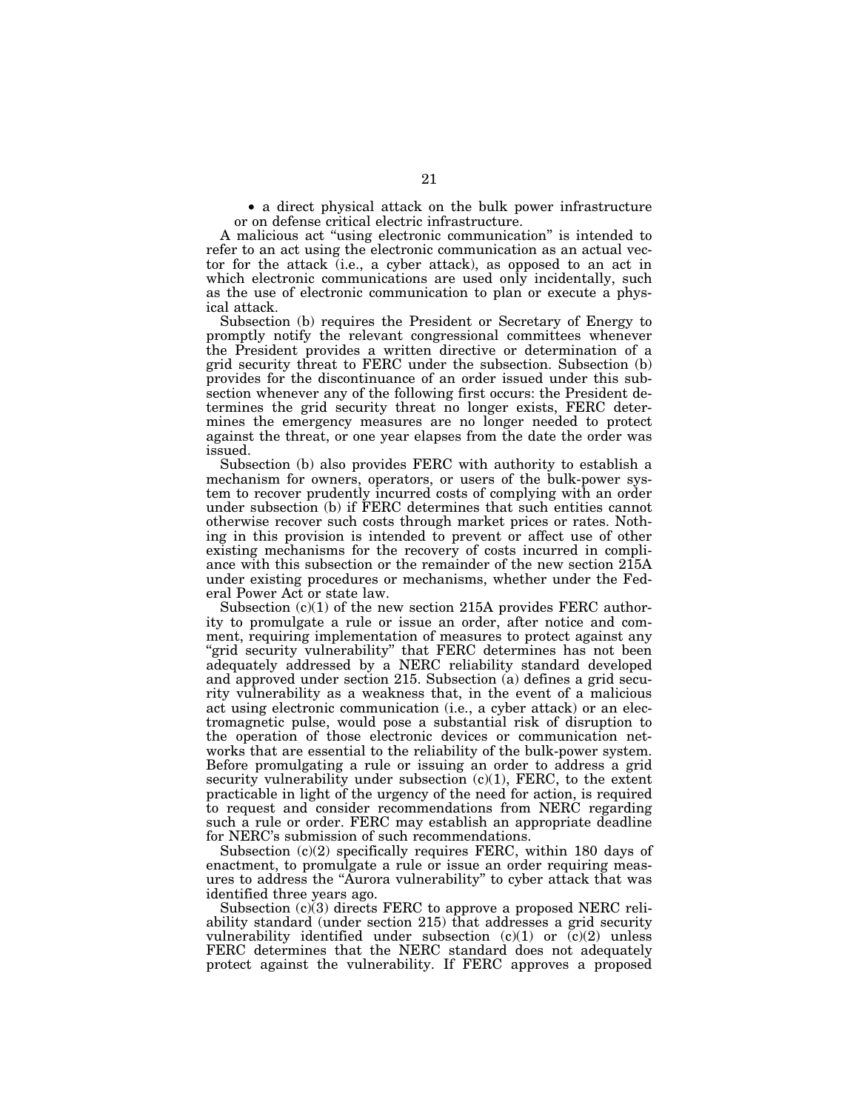• a direct physical attack on the bulk power infrastructure or on defense critical electric infrastructure.

A malicious act ''using electronic communication'' is intended to refer to an act using the electronic communication as an actual vector for the attack (i.e., a cyber attack), as opposed to an act in which electronic communications are used only incidentally, such as the use of electronic communication to plan or execute a physical attack.

Subsection (b) requires the President or Secretary of Energy to promptly notify the relevant congressional committees whenever the President provides a written directive or determination of a grid security threat to FERC under the subsection. Subsection (b) provides for the discontinuance of an order issued under this subsection whenever any of the following first occurs: the President determines the grid security threat no longer exists, FERC determines the emergency measures are no longer needed to protect against the threat, or one year elapses from the date the order was issued.

Subsection (b) also provides FERC with authority to establish a mechanism for owners, operators, or users of the bulk-power system to recover prudently incurred costs of complying with an order under subsection (b) if FERC determines that such entities cannot otherwise recover such costs through market prices or rates. Nothing in this provision is intended to prevent or affect use of other existing mechanisms for the recovery of costs incurred in compliance with this subsection or the remainder of the new section 215A under existing procedures or mechanisms, whether under the Federal Power Act or state law.

Subsection (c)(1) of the new section 215A provides FERC authority to promulgate a rule or issue an order, after notice and comment, requiring implementation of measures to protect against any "grid security vulnerability" that FERC determines has not been adequately addressed by a NERC reliability standard developed and approved under section 215. Subsection (a) defines a grid security vulnerability as a weakness that, in the event of a malicious act using electronic communication (i.e., a cyber attack) or an electromagnetic pulse, would pose a substantial risk of disruption to the operation of those electronic devices or communication networks that are essential to the reliability of the bulk-power system. Before promulgating a rule or issuing an order to address a grid security vulnerability under subsection (c)(1), FERC, to the extent practicable in light of the urgency of the need for action, is required to request and consider recommendations from NERC regarding such a rule or order. FERC may establish an appropriate deadline for NERC's submission of such recommendations.

Subsection  $(c)(2)$  specifically requires FERC, within 180 days of enactment, to promulgate a rule or issue an order requiring measures to address the ''Aurora vulnerability'' to cyber attack that was identified three years ago.

Subsection (c)(3) directs FERC to approve a proposed NERC reliability standard (under section 215) that addresses a grid security vulnerability identified under subsection  $(c)(1)$  or  $(c)(2)$  unless FERC determines that the NERC standard does not adequately protect against the vulnerability. If FERC approves a proposed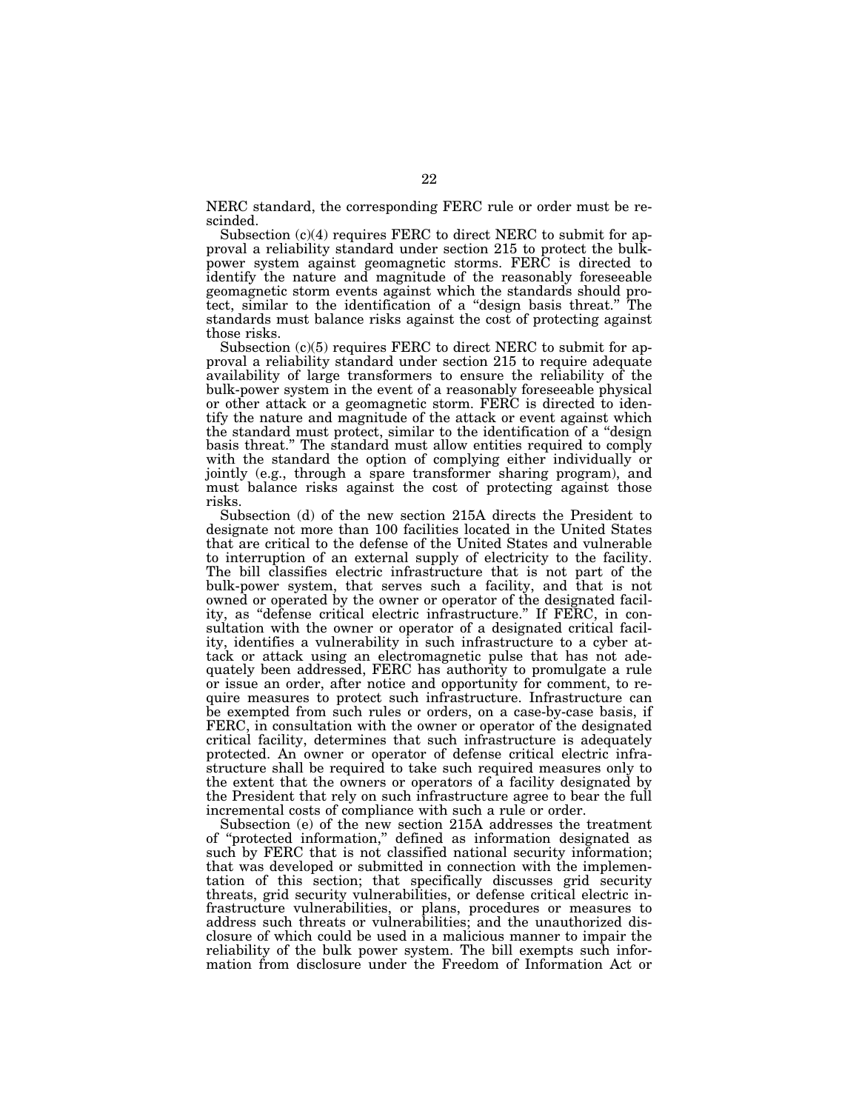NERC standard, the corresponding FERC rule or order must be rescinded.

Subsection (c)(4) requires FERC to direct NERC to submit for approval a reliability standard under section 215 to protect the bulkpower system against geomagnetic storms. FERC is directed to identify the nature and magnitude of the reasonably foreseeable geomagnetic storm events against which the standards should protect, similar to the identification of a ''design basis threat.'' The standards must balance risks against the cost of protecting against those risks.

Subsection (c)(5) requires FERC to direct NERC to submit for approval a reliability standard under section 215 to require adequate availability of large transformers to ensure the reliability of the bulk-power system in the event of a reasonably foreseeable physical or other attack or a geomagnetic storm. FERC is directed to identify the nature and magnitude of the attack or event against which the standard must protect, similar to the identification of a ''design basis threat.'' The standard must allow entities required to comply with the standard the option of complying either individually or jointly (e.g., through a spare transformer sharing program), and must balance risks against the cost of protecting against those risks.

Subsection (d) of the new section 215A directs the President to designate not more than 100 facilities located in the United States that are critical to the defense of the United States and vulnerable to interruption of an external supply of electricity to the facility. The bill classifies electric infrastructure that is not part of the bulk-power system, that serves such a facility, and that is not owned or operated by the owner or operator of the designated facility, as ''defense critical electric infrastructure.'' If FERC, in consultation with the owner or operator of a designated critical facility, identifies a vulnerability in such infrastructure to a cyber attack or attack using an electromagnetic pulse that has not adequately been addressed, FERC has authority to promulgate a rule or issue an order, after notice and opportunity for comment, to require measures to protect such infrastructure. Infrastructure can be exempted from such rules or orders, on a case-by-case basis, if FERC, in consultation with the owner or operator of the designated critical facility, determines that such infrastructure is adequately protected. An owner or operator of defense critical electric infrastructure shall be required to take such required measures only to the extent that the owners or operators of a facility designated by the President that rely on such infrastructure agree to bear the full incremental costs of compliance with such a rule or order.

Subsection (e) of the new section 215A addresses the treatment of ''protected information,'' defined as information designated as such by FERC that is not classified national security information; that was developed or submitted in connection with the implementation of this section; that specifically discusses grid security threats, grid security vulnerabilities, or defense critical electric infrastructure vulnerabilities, or plans, procedures or measures to address such threats or vulnerabilities; and the unauthorized disclosure of which could be used in a malicious manner to impair the reliability of the bulk power system. The bill exempts such information from disclosure under the Freedom of Information Act or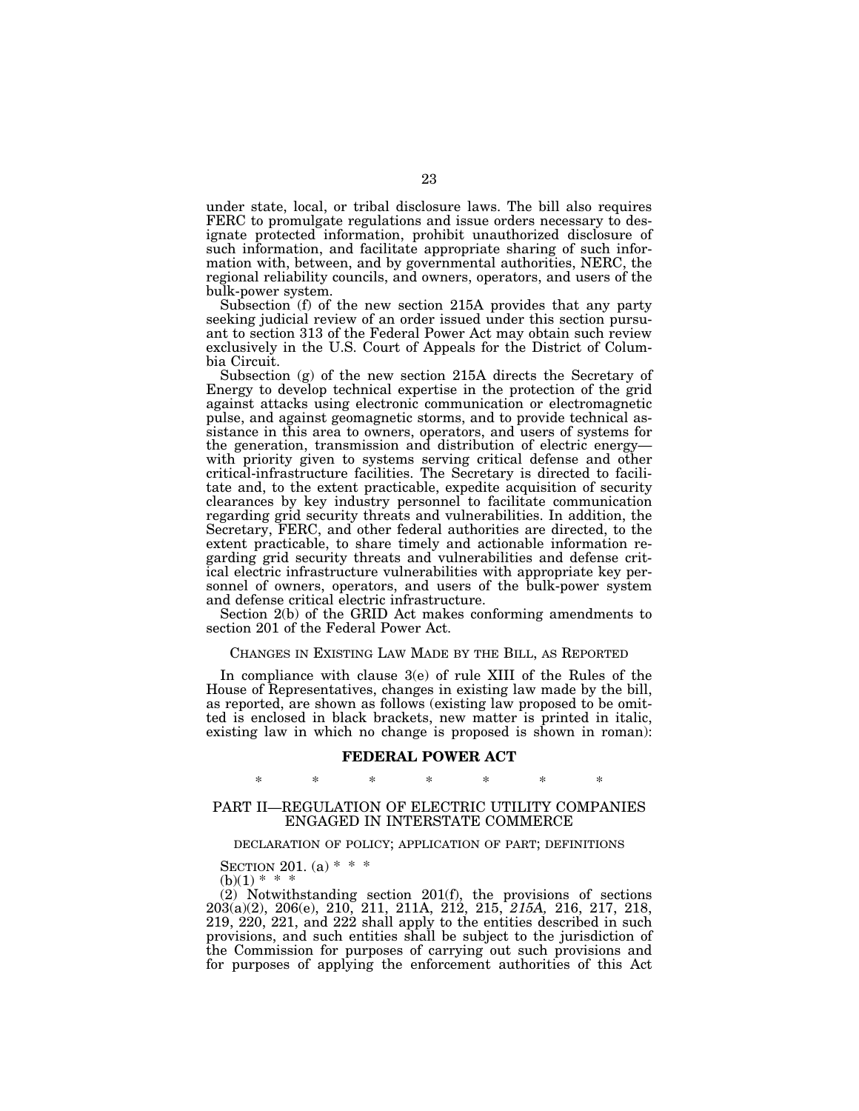under state, local, or tribal disclosure laws. The bill also requires FERC to promulgate regulations and issue orders necessary to designate protected information, prohibit unauthorized disclosure of such information, and facilitate appropriate sharing of such information with, between, and by governmental authorities, NERC, the regional reliability councils, and owners, operators, and users of the bulk-power system.

Subsection (f) of the new section 215A provides that any party seeking judicial review of an order issued under this section pursuant to section 313 of the Federal Power Act may obtain such review exclusively in the U.S. Court of Appeals for the District of Columbia Circuit.

Subsection (g) of the new section 215A directs the Secretary of Energy to develop technical expertise in the protection of the grid against attacks using electronic communication or electromagnetic pulse, and against geomagnetic storms, and to provide technical assistance in this area to owners, operators, and users of systems for the generation, transmission and distribution of electric energy with priority given to systems serving critical defense and other critical-infrastructure facilities. The Secretary is directed to facilitate and, to the extent practicable, expedite acquisition of security clearances by key industry personnel to facilitate communication regarding grid security threats and vulnerabilities. In addition, the Secretary, FERC, and other federal authorities are directed, to the extent practicable, to share timely and actionable information regarding grid security threats and vulnerabilities and defense critical electric infrastructure vulnerabilities with appropriate key personnel of owners, operators, and users of the bulk-power system and defense critical electric infrastructure.

Section 2(b) of the GRID Act makes conforming amendments to section 201 of the Federal Power Act.

# CHANGES IN EXISTING LAW MADE BY THE BILL, AS REPORTED

In compliance with clause 3(e) of rule XIII of the Rules of the House of Representatives, changes in existing law made by the bill, as reported, are shown as follows (existing law proposed to be omitted is enclosed in black brackets, new matter is printed in italic, existing law in which no change is proposed is shown in roman):

## **FEDERAL POWER ACT**

# \* \* \* \* \* \* \*

## PART II—REGULATION OF ELECTRIC UTILITY COMPANIES ENGAGED IN INTERSTATE COMMERCE

## DECLARATION OF POLICY; APPLICATION OF PART; DEFINITIONS

SECTION 201. (a)  $* * *$ 

 $(b)(1) * * *$ 

(2) Notwithstanding section 201(f), the provisions of sections 203(a)(2), 206(e), 210, 211, 211A, 212, 215, *215A,* 216, 217, 218, 219, 220, 221, and 222 shall apply to the entities described in such provisions, and such entities shall be subject to the jurisdiction of the Commission for purposes of carrying out such provisions and for purposes of applying the enforcement authorities of this Act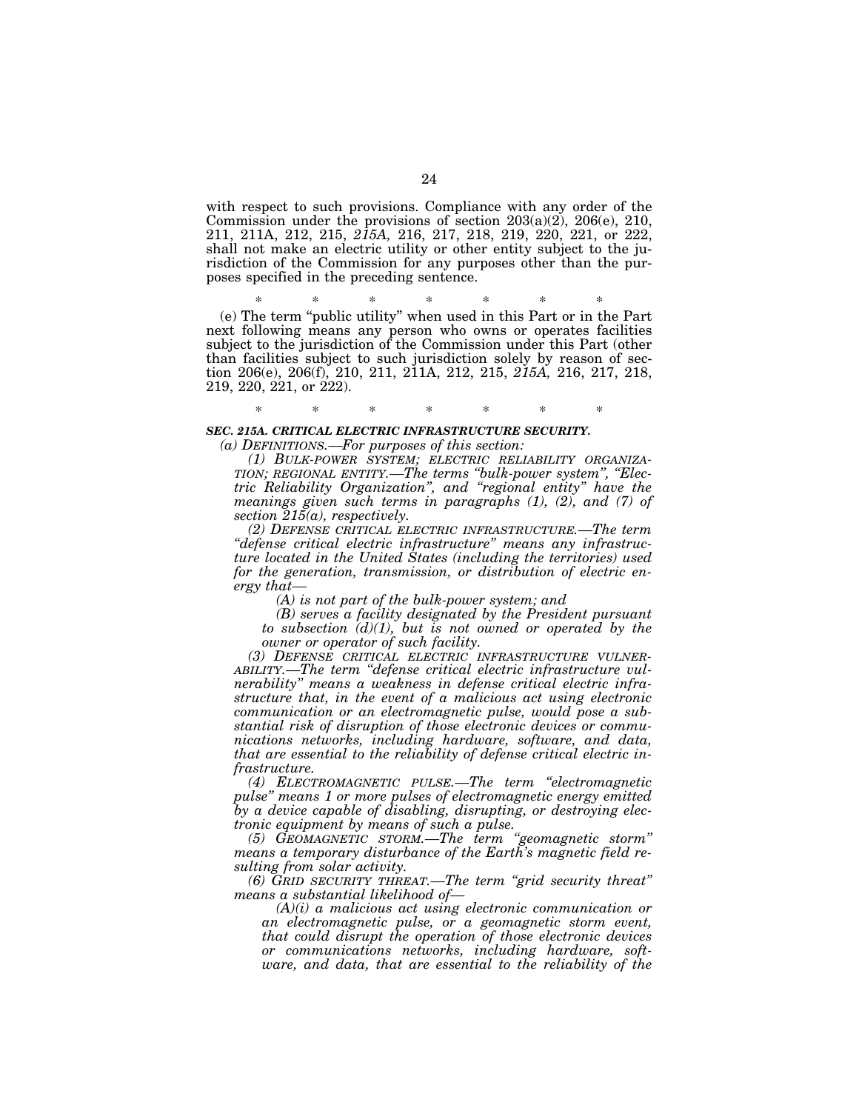with respect to such provisions. Compliance with any order of the Commission under the provisions of section 203(a)(2), 206(e), 210, 211, 211A, 212, 215, *215A,* 216, 217, 218, 219, 220, 221, or 222, shall not make an electric utility or other entity subject to the jurisdiction of the Commission for any purposes other than the purposes specified in the preceding sentence.

\* \* \* \* \* \* \*

(e) The term ''public utility'' when used in this Part or in the Part next following means any person who owns or operates facilities subject to the jurisdiction of the Commission under this Part (other than facilities subject to such jurisdiction solely by reason of section 206(e), 206(f), 210, 211, 211A, 212, 215, *215A,* 216, 217, 218, 219, 220, 221, or 222).

# \* \* \* \* \* \* \* *SEC. 215A. CRITICAL ELECTRIC INFRASTRUCTURE SECURITY.*

*(a) DEFINITIONS.—For purposes of this section:* 

*(1) BULK-POWER SYSTEM; ELECTRIC RELIABILITY ORGANIZA- TION; REGIONAL ENTITY.—The terms ''bulk-power system'', ''Electric Reliability Organization'', and ''regional entity'' have the meanings given such terms in paragraphs (1), (2), and (7) of section 215(a), respectively.* 

*(2) DEFENSE CRITICAL ELECTRIC INFRASTRUCTURE.—The term ''defense critical electric infrastructure'' means any infrastructure located in the United States (including the territories) used for the generation, transmission, or distribution of electric energy that—* 

*(A) is not part of the bulk-power system; and* 

*(B) serves a facility designated by the President pursuant to subsection (d)(1), but is not owned or operated by the* 

*owner or operator of such facility. (3) DEFENSE CRITICAL ELECTRIC INFRASTRUCTURE VULNER- ABILITY.—The term ''defense critical electric infrastructure vulnerability'' means a weakness in defense critical electric infrastructure that, in the event of a malicious act using electronic communication or an electromagnetic pulse, would pose a substantial risk of disruption of those electronic devices or communications networks, including hardware, software, and data, that are essential to the reliability of defense critical electric infrastructure.* 

*(4) ELECTROMAGNETIC PULSE.—The term ''electromagnetic pulse'' means 1 or more pulses of electromagnetic energy emitted by a device capable of disabling, disrupting, or destroying electronic equipment by means of such a pulse.* 

*(5) GEOMAGNETIC STORM.—The term ''geomagnetic storm'' means a temporary disturbance of the Earth's magnetic field resulting from solar activity.* 

*(6) GRID SECURITY THREAT.—The term ''grid security threat'' means a substantial likelihood of—* 

*(A)(i) a malicious act using electronic communication or an electromagnetic pulse, or a geomagnetic storm event, that could disrupt the operation of those electronic devices or communications networks, including hardware, software, and data, that are essential to the reliability of the*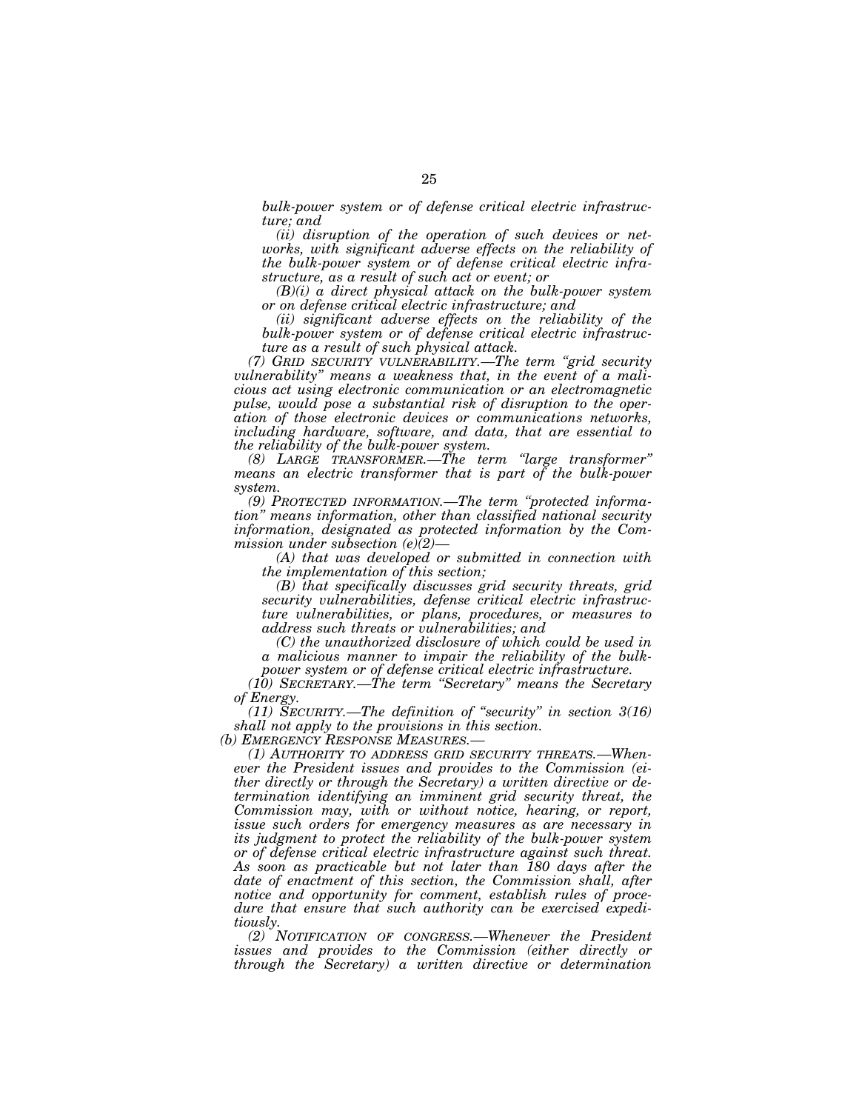*bulk-power system or of defense critical electric infrastructure; and* 

*(ii) disruption of the operation of such devices or networks, with significant adverse effects on the reliability of the bulk-power system or of defense critical electric infrastructure, as a result of such act or event; or* 

*(B)(i) a direct physical attack on the bulk-power system or on defense critical electric infrastructure; and* 

*(ii) significant adverse effects on the reliability of the bulk-power system or of defense critical electric infrastructure as a result of such physical attack.* 

*(7) GRID SECURITY VULNERABILITY.—The term ''grid security vulnerability'' means a weakness that, in the event of a malicious act using electronic communication or an electromagnetic pulse, would pose a substantial risk of disruption to the operation of those electronic devices or communications networks, including hardware, software, and data, that are essential to the reliability of the bulk-power system.* 

*(8) LARGE TRANSFORMER.—The term ''large transformer'' means an electric transformer that is part of the bulk-power system.* 

*(9) PROTECTED INFORMATION.—The term ''protected information'' means information, other than classified national security information, designated as protected information by the Commission under subsection (e)(2)—* 

*(A) that was developed or submitted in connection with the implementation of this section;* 

*(B) that specifically discusses grid security threats, grid security vulnerabilities, defense critical electric infrastructure vulnerabilities, or plans, procedures, or measures to address such threats or vulnerabilities; and* 

*(C) the unauthorized disclosure of which could be used in a malicious manner to impair the reliability of the bulkpower system or of defense critical electric infrastructure.* 

*(10) SECRETARY.—The term ''Secretary'' means the Secretary of Energy.* 

*(11) SECURITY.—The definition of ''security'' in section 3(16) shall not apply to the provisions in this section.* 

*(b) EMERGENCY RESPONSE MEASURES.—* 

*(1) AUTHORITY TO ADDRESS GRID SECURITY THREATS.—Whenever the President issues and provides to the Commission (either directly or through the Secretary) a written directive or determination identifying an imminent grid security threat, the Commission may, with or without notice, hearing, or report, issue such orders for emergency measures as are necessary in its judgment to protect the reliability of the bulk-power system or of defense critical electric infrastructure against such threat. As soon as practicable but not later than 180 days after the date of enactment of this section, the Commission shall, after notice and opportunity for comment, establish rules of procedure that ensure that such authority can be exercised expeditiously.* 

*(2) NOTIFICATION OF CONGRESS.—Whenever the President issues and provides to the Commission (either directly or through the Secretary) a written directive or determination*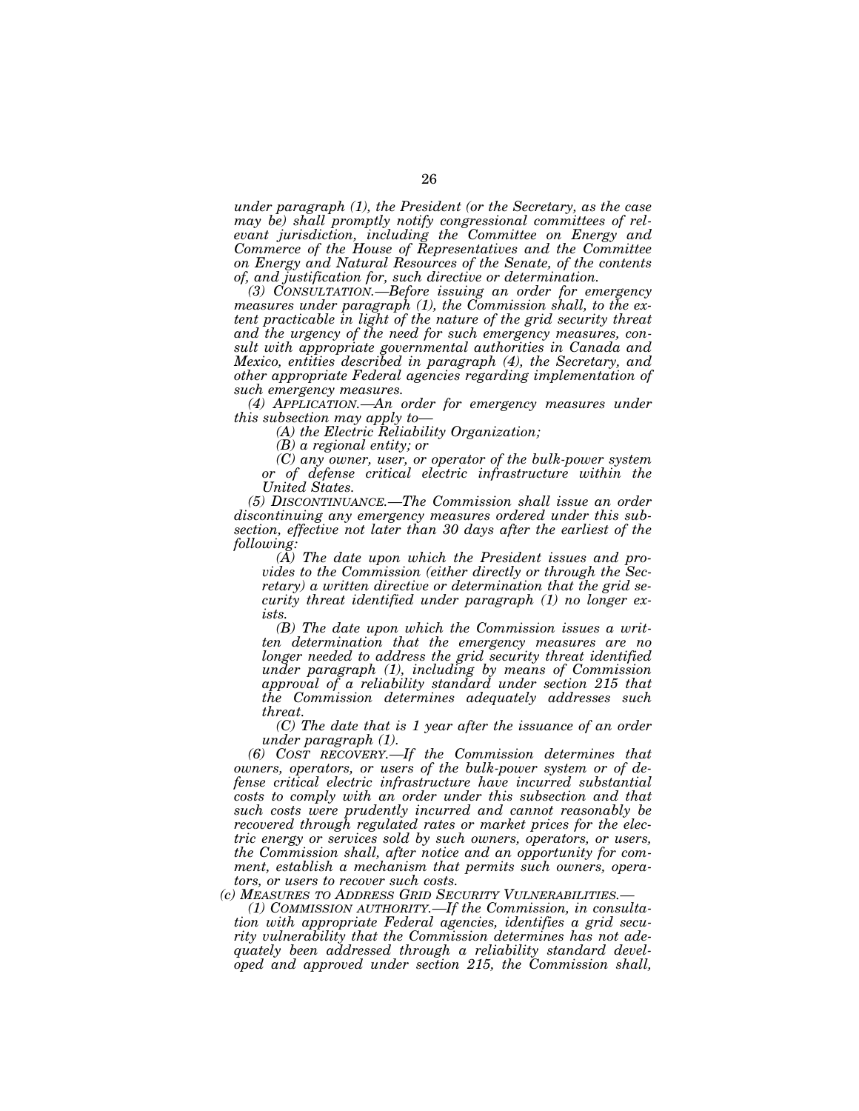*under paragraph (1), the President (or the Secretary, as the case may be) shall promptly notify congressional committees of relevant jurisdiction, including the Committee on Energy and Commerce of the House of Representatives and the Committee on Energy and Natural Resources of the Senate, of the contents of, and justification for, such directive or determination.* 

*(3) CONSULTATION.—Before issuing an order for emergency measures under paragraph (1), the Commission shall, to the extent practicable in light of the nature of the grid security threat and the urgency of the need for such emergency measures, consult with appropriate governmental authorities in Canada and Mexico, entities described in paragraph (4), the Secretary, and other appropriate Federal agencies regarding implementation of such emergency measures.* 

*(4) APPLICATION.—An order for emergency measures under this subsection may apply to—* 

*(A) the Electric Reliability Organization;* 

*(B) a regional entity; or* 

*(C) any owner, user, or operator of the bulk-power system or of defense critical electric infrastructure within the United States.* 

*(5) DISCONTINUANCE.—The Commission shall issue an order discontinuing any emergency measures ordered under this subsection, effective not later than 30 days after the earliest of the following:* 

*(A) The date upon which the President issues and provides to the Commission (either directly or through the Secretary) a written directive or determination that the grid security threat identified under paragraph (1) no longer exists.* 

*(B) The date upon which the Commission issues a written determination that the emergency measures are no longer needed to address the grid security threat identified under paragraph (1), including by means of Commission approval of a reliability standard under section 215 that the Commission determines adequately addresses such threat.* 

*(C) The date that is 1 year after the issuance of an order under paragraph (1).* 

*(6) COST RECOVERY.—If the Commission determines that owners, operators, or users of the bulk-power system or of defense critical electric infrastructure have incurred substantial costs to comply with an order under this subsection and that such costs were prudently incurred and cannot reasonably be recovered through regulated rates or market prices for the electric energy or services sold by such owners, operators, or users, the Commission shall, after notice and an opportunity for comment, establish a mechanism that permits such owners, operators, or users to recover such costs.* 

*(c) MEASURES TO ADDRESS GRID SECURITY VULNERABILITIES.—* 

*(1) COMMISSION AUTHORITY.—If the Commission, in consultation with appropriate Federal agencies, identifies a grid security vulnerability that the Commission determines has not adequately been addressed through a reliability standard developed and approved under section 215, the Commission shall,*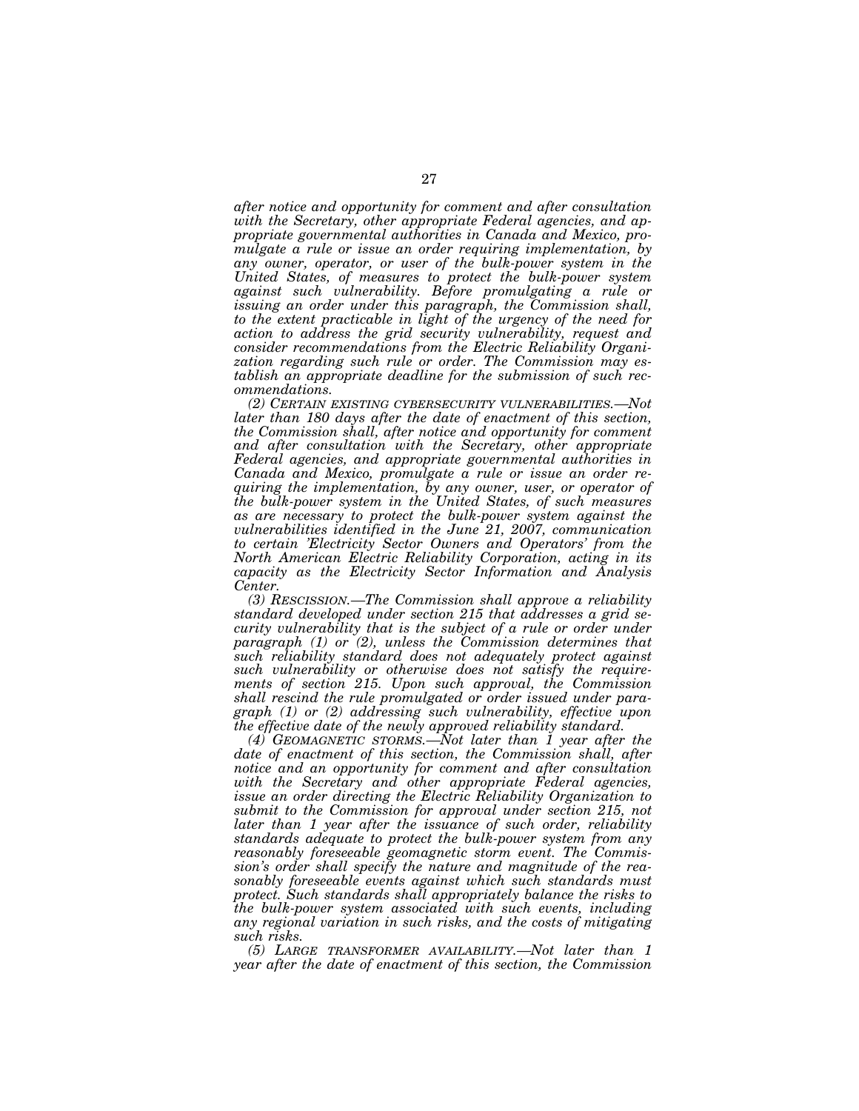*after notice and opportunity for comment and after consultation with the Secretary, other appropriate Federal agencies, and appropriate governmental authorities in Canada and Mexico, promulgate a rule or issue an order requiring implementation, by any owner, operator, or user of the bulk-power system in the United States, of measures to protect the bulk-power system against such vulnerability. Before promulgating a rule or issuing an order under this paragraph, the Commission shall, to the extent practicable in light of the urgency of the need for action to address the grid security vulnerability, request and consider recommendations from the Electric Reliability Organization regarding such rule or order. The Commission may establish an appropriate deadline for the submission of such recommendations.* 

*(2) CERTAIN EXISTING CYBERSECURITY VULNERABILITIES.—Not later than 180 days after the date of enactment of this section, the Commission shall, after notice and opportunity for comment and after consultation with the Secretary, other appropriate Federal agencies, and appropriate governmental authorities in Canada and Mexico, promulgate a rule or issue an order requiring the implementation, by any owner, user, or operator of the bulk-power system in the United States, of such measures as are necessary to protect the bulk-power system against the vulnerabilities identified in the June 21, 2007, communication to certain 'Electricity Sector Owners and Operators' from the North American Electric Reliability Corporation, acting in its capacity as the Electricity Sector Information and Analysis Center.* 

*(3) RESCISSION.—The Commission shall approve a reliability standard developed under section 215 that addresses a grid security vulnerability that is the subject of a rule or order under paragraph (1) or (2), unless the Commission determines that such reliability standard does not adequately protect against such vulnerability or otherwise does not satisfy the requirements of section 215. Upon such approval, the Commission shall rescind the rule promulgated or order issued under paragraph (1) or (2) addressing such vulnerability, effective upon the effective date of the newly approved reliability standard.* 

*(4) GEOMAGNETIC STORMS.—Not later than 1 year after the date of enactment of this section, the Commission shall, after notice and an opportunity for comment and after consultation with the Secretary and other appropriate Federal agencies, issue an order directing the Electric Reliability Organization to submit to the Commission for approval under section 215, not later than 1 year after the issuance of such order, reliability standards adequate to protect the bulk-power system from any reasonably foreseeable geomagnetic storm event. The Commission's order shall specify the nature and magnitude of the reasonably foreseeable events against which such standards must protect. Such standards shall appropriately balance the risks to the bulk-power system associated with such events, including any regional variation in such risks, and the costs of mitigating such risks.* 

*(5) LARGE TRANSFORMER AVAILABILITY.—Not later than 1 year after the date of enactment of this section, the Commission*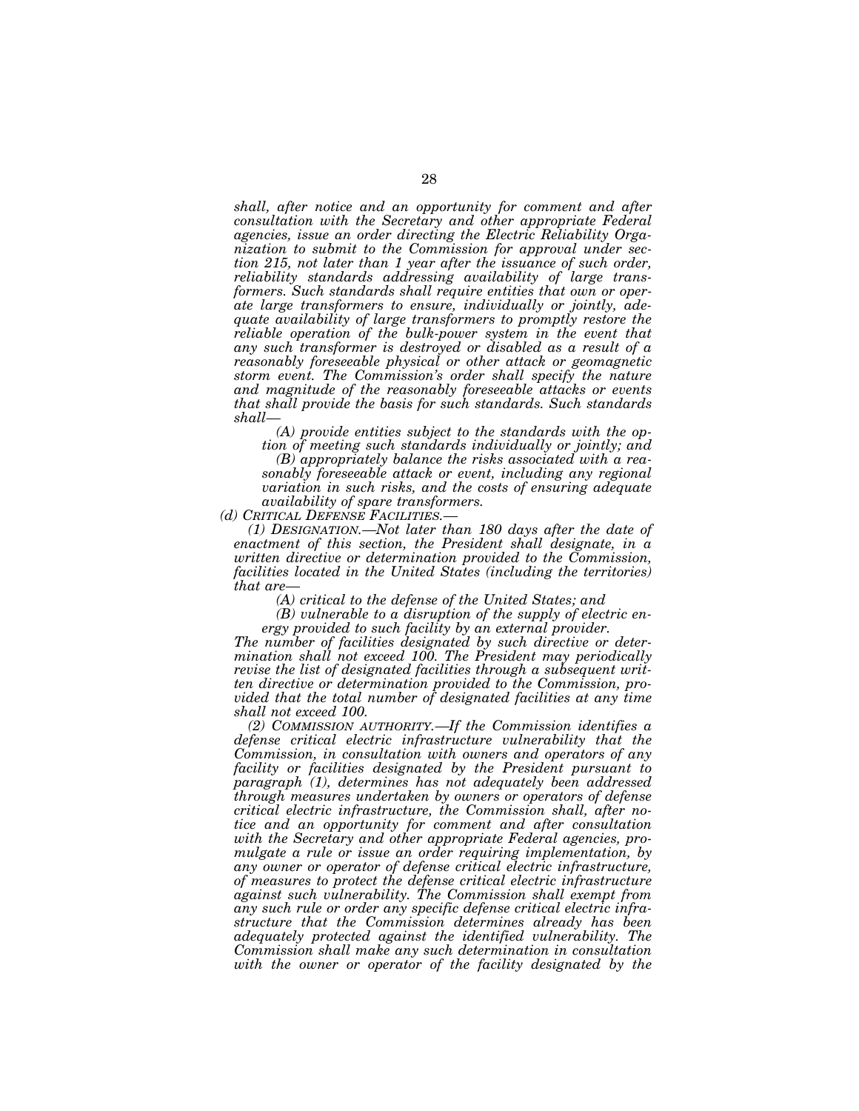*shall, after notice and an opportunity for comment and after consultation with the Secretary and other appropriate Federal agencies, issue an order directing the Electric Reliability Organization to submit to the Commission for approval under section 215, not later than 1 year after the issuance of such order, reliability standards addressing availability of large transformers. Such standards shall require entities that own or operate large transformers to ensure, individually or jointly, adequate availability of large transformers to promptly restore the reliable operation of the bulk-power system in the event that any such transformer is destroyed or disabled as a result of a reasonably foreseeable physical or other attack or geomagnetic storm event. The Commission's order shall specify the nature and magnitude of the reasonably foreseeable attacks or events that shall provide the basis for such standards. Such standards shall—* 

*(A) provide entities subject to the standards with the option of meeting such standards individually or jointly; and (B) appropriately balance the risks associated with a reasonably foreseeable attack or event, including any regional variation in such risks, and the costs of ensuring adequate availability of spare transformers.* 

*(1) DESIGNATION.—Not later than 180 days after the date of enactment of this section, the President shall designate, in a written directive or determination provided to the Commission, facilities located in the United States (including the territories) that are—* 

*(A) critical to the defense of the United States; and* 

*(B) vulnerable to a disruption of the supply of electric energy provided to such facility by an external provider.* 

*The number of facilities designated by such directive or determination shall not exceed 100. The President may periodically revise the list of designated facilities through a subsequent written directive or determination provided to the Commission, provided that the total number of designated facilities at any time shall not exceed 100.* 

*(2) COMMISSION AUTHORITY.—If the Commission identifies a defense critical electric infrastructure vulnerability that the Commission, in consultation with owners and operators of any facility or facilities designated by the President pursuant to paragraph (1), determines has not adequately been addressed through measures undertaken by owners or operators of defense critical electric infrastructure, the Commission shall, after notice and an opportunity for comment and after consultation with the Secretary and other appropriate Federal agencies, promulgate a rule or issue an order requiring implementation, by any owner or operator of defense critical electric infrastructure, of measures to protect the defense critical electric infrastructure against such vulnerability. The Commission shall exempt from any such rule or order any specific defense critical electric infrastructure that the Commission determines already has been adequately protected against the identified vulnerability. The Commission shall make any such determination in consultation*  with the owner or operator of the facility designated by the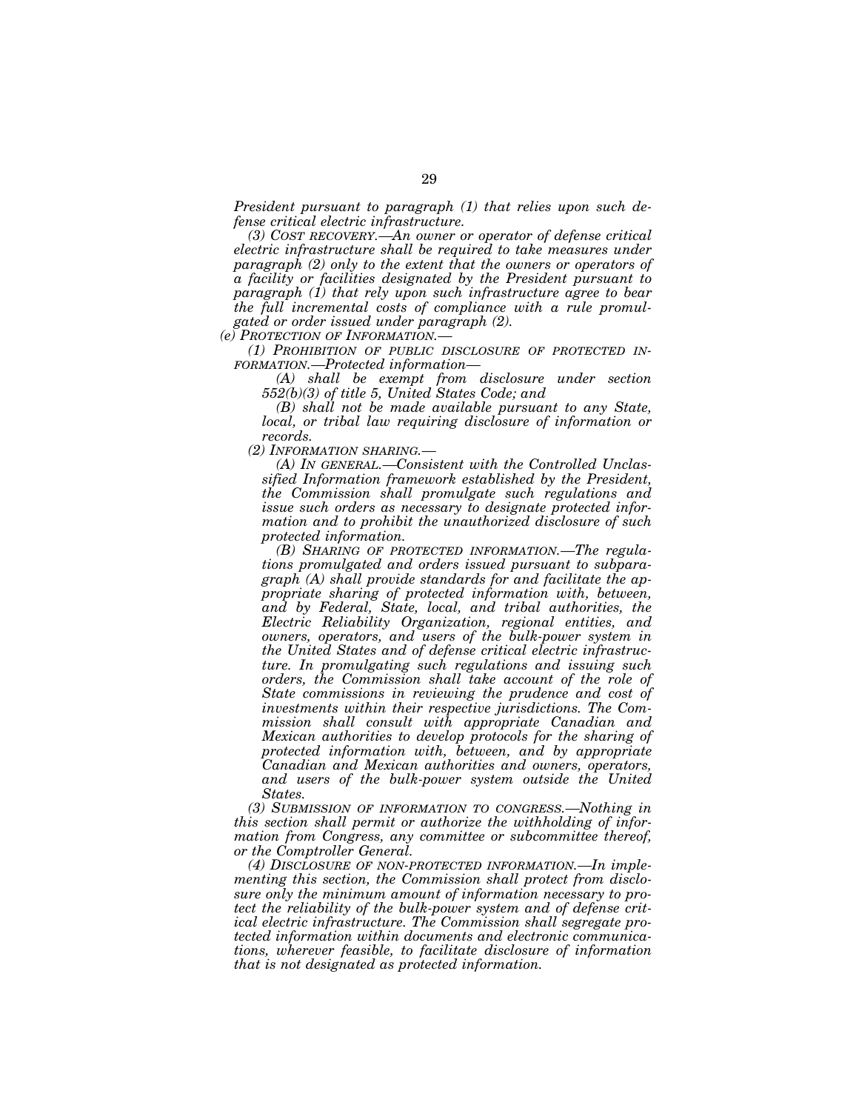*President pursuant to paragraph (1) that relies upon such defense critical electric infrastructure.* 

*(3) COST RECOVERY.—An owner or operator of defense critical electric infrastructure shall be required to take measures under paragraph (2) only to the extent that the owners or operators of a facility or facilities designated by the President pursuant to paragraph (1) that rely upon such infrastructure agree to bear the full incremental costs of compliance with a rule promulgated or order issued under paragraph (2).* 

*(e) PROTECTION OF INFORMATION.—* 

*(1) PROHIBITION OF PUBLIC DISCLOSURE OF PROTECTED IN-FORMATION.—Protected information—* 

*(A) shall be exempt from disclosure under section 552(b)(3) of title 5, United States Code; and* 

*(B) shall not be made available pursuant to any State, local, or tribal law requiring disclosure of information or records.* 

*(2) INFORMATION SHARING.—* 

*(A) IN GENERAL.—Consistent with the Controlled Unclassified Information framework established by the President, the Commission shall promulgate such regulations and issue such orders as necessary to designate protected information and to prohibit the unauthorized disclosure of such protected information.* 

*(B) SHARING OF PROTECTED INFORMATION.—The regulations promulgated and orders issued pursuant to subparagraph (A) shall provide standards for and facilitate the appropriate sharing of protected information with, between, and by Federal, State, local, and tribal authorities, the Electric Reliability Organization, regional entities, and owners, operators, and users of the bulk-power system in the United States and of defense critical electric infrastructure. In promulgating such regulations and issuing such orders, the Commission shall take account of the role of State commissions in reviewing the prudence and cost of investments within their respective jurisdictions. The Commission shall consult with appropriate Canadian and Mexican authorities to develop protocols for the sharing of protected information with, between, and by appropriate Canadian and Mexican authorities and owners, operators, and users of the bulk-power system outside the United States.* 

*(3) SUBMISSION OF INFORMATION TO CONGRESS.—Nothing in this section shall permit or authorize the withholding of information from Congress, any committee or subcommittee thereof, or the Comptroller General.* 

*(4) DISCLOSURE OF NON-PROTECTED INFORMATION.—In implementing this section, the Commission shall protect from disclosure only the minimum amount of information necessary to protect the reliability of the bulk-power system and of defense critical electric infrastructure. The Commission shall segregate protected information within documents and electronic communications, wherever feasible, to facilitate disclosure of information that is not designated as protected information.*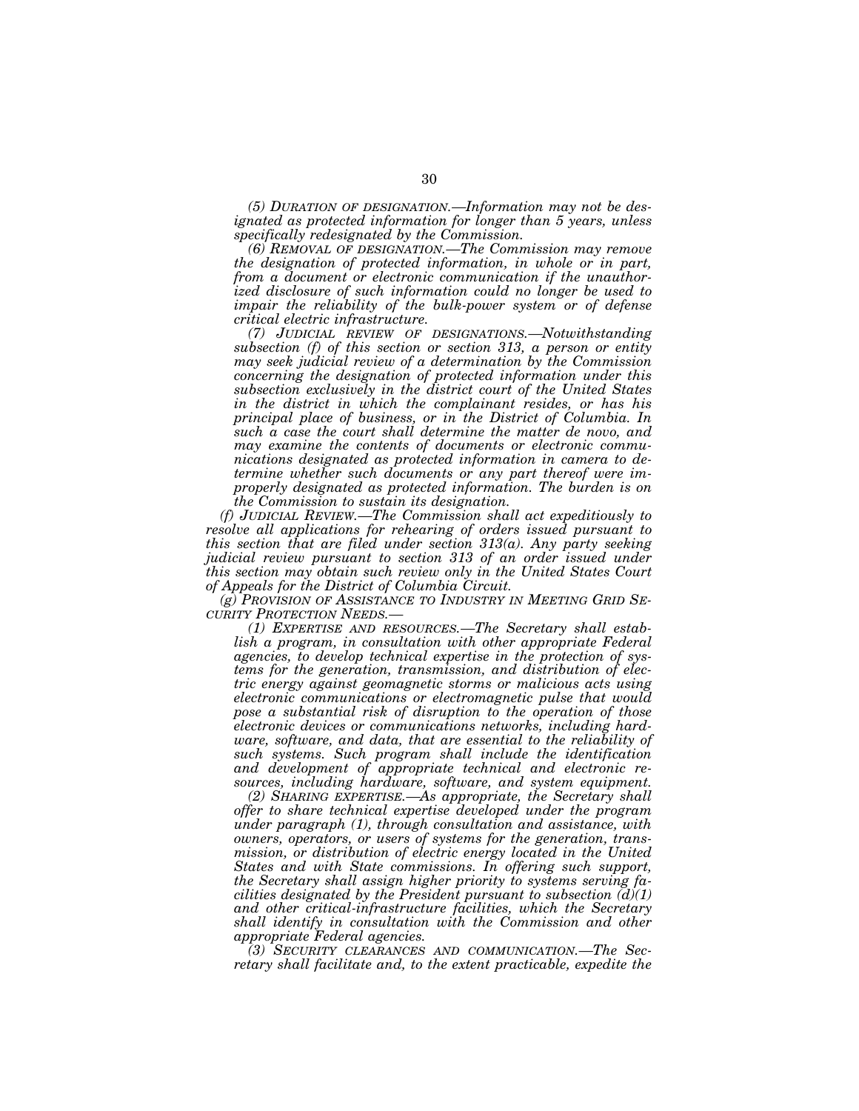*(5) DURATION OF DESIGNATION.—Information may not be designated as protected information for longer than 5 years, unless specifically redesignated by the Commission.* 

*(6) REMOVAL OF DESIGNATION.—The Commission may remove the designation of protected information, in whole or in part, from a document or electronic communication if the unauthorized disclosure of such information could no longer be used to impair the reliability of the bulk-power system or of defense critical electric infrastructure.* 

*(7) JUDICIAL REVIEW OF DESIGNATIONS.—Notwithstanding subsection (f) of this section or section 313, a person or entity may seek judicial review of a determination by the Commission concerning the designation of protected information under this subsection exclusively in the district court of the United States in the district in which the complainant resides, or has his principal place of business, or in the District of Columbia. In such a case the court shall determine the matter de novo, and may examine the contents of documents or electronic communications designated as protected information in camera to determine whether such documents or any part thereof were improperly designated as protected information. The burden is on the Commission to sustain its designation.* 

*(f) JUDICIAL REVIEW.—The Commission shall act expeditiously to resolve all applications for rehearing of orders issued pursuant to this section that are filed under section 313(a). Any party seeking judicial review pursuant to section 313 of an order issued under this section may obtain such review only in the United States Court of Appeals for the District of Columbia Circuit.* 

*(g) PROVISION OF ASSISTANCE TO INDUSTRY IN MEETING GRID SE- CURITY PROTECTION NEEDS.— (1) EXPERTISE AND RESOURCES.—The Secretary shall estab-*

*lish a program, in consultation with other appropriate Federal agencies, to develop technical expertise in the protection of systems for the generation, transmission, and distribution of electric energy against geomagnetic storms or malicious acts using electronic communications or electromagnetic pulse that would pose a substantial risk of disruption to the operation of those electronic devices or communications networks, including hardware, software, and data, that are essential to the reliability of such systems. Such program shall include the identification and development of appropriate technical and electronic resources, including hardware, software, and system equipment.* 

*(2) SHARING EXPERTISE.—As appropriate, the Secretary shall offer to share technical expertise developed under the program under paragraph (1), through consultation and assistance, with owners, operators, or users of systems for the generation, trans*mission, or distribution of electric energy located in the United *States and with State commissions. In offering such support, the Secretary shall assign higher priority to systems serving facilities designated by the President pursuant to subsection (d)(1) and other critical-infrastructure facilities, which the Secretary shall identify in consultation with the Commission and other appropriate Federal agencies.* 

*(3) SECURITY CLEARANCES AND COMMUNICATION.—The Secretary shall facilitate and, to the extent practicable, expedite the*